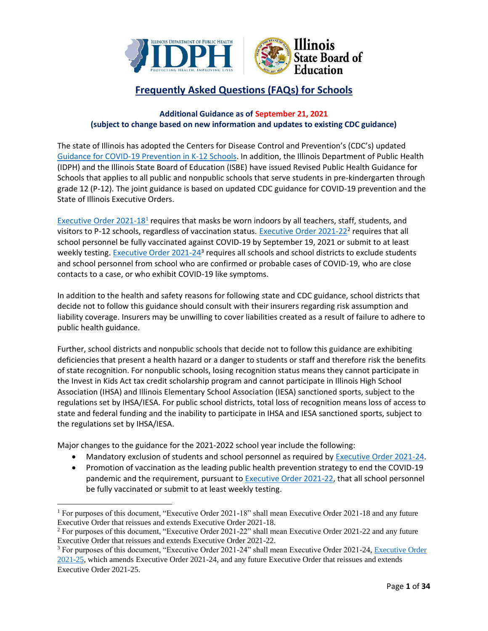

# **Frequently Asked Questions (FAQs) for Schools**

# **Additional Guidance as of September 21, 2021 (subject to change based on new information and updates to existing CDC guidance)**

The state of Illinois has adopted the Centers for Disease Control and Prevention's (CDC's) updated [Guidance for COVID-19 Prevention in K-12 Schools.](https://www.cdc.gov/coronavirus/2019-ncov/community/schools-childcare/k-12-guidance.html) In addition, the Illinois Department of Public Health (IDPH) and the Illinois State Board of Education (ISBE) have issued Revised Public Health Guidance for Schools that applies to all public and nonpublic schools that serve students in pre-kindergarten through grade 12 (P-12). The joint guidance is based on updated CDC guidance for COVID-19 prevention and the State of Illinois Executive Orders.

[Executive Order 2021-18](https://www.illinois.gov/government/executive-orders/executive-order.executive-order-number-18.2021.html)<sup>1</sup> requires that masks be worn indoors by all teachers, staff, students, and visitors to P-12 schools, regardless of vaccination status. [Executive Order 2021-22](https://www.illinois.gov/government/executive-orders/executive-order.executive-order-number-22.2021.html)<sup>2</sup> requires that all school personnel be fully vaccinated against COVID-19 by September 19, 2021 or submit to at least weekly testing[. Executive Order 2021-24](https://www.illinois.gov/government/executive-orders/executive-order.executive-order-number-24.2021.html)<sup>3</sup> requires all schools and school districts to exclude students and school personnel from school who are confirmed or probable cases of COVID-19, who are close contacts to a case, or who exhibit COVID-19 like symptoms.

In addition to the health and safety reasons for following state and CDC guidance, school districts that decide not to follow this guidance should consult with their insurers regarding risk assumption and liability coverage. Insurers may be unwilling to cover liabilities created as a result of failure to adhere to public health guidance.

Further, school districts and nonpublic schools that decide not to follow this guidance are exhibiting deficiencies that present a health hazard or a danger to students or staff and therefore risk the benefits of state recognition. For nonpublic schools, losing recognition status means they cannot participate in the Invest in Kids Act tax credit scholarship program and cannot participate in Illinois High School Association (IHSA) and Illinois Elementary School Association (IESA) sanctioned sports, subject to the regulations set by IHSA/IESA. For public school districts, total loss of recognition means loss of access to state and federal funding and the inability to participate in IHSA and IESA sanctioned sports, subject to the regulations set by IHSA/IESA.

Major changes to the guidance for the 2021-2022 school year include the following:

- Mandatory exclusion of students and school personnel as required by [Executive Order 2021-24.](https://www.illinois.gov/government/executive-orders/executive-order.executive-order-number-24.2021.html)
- Promotion of vaccination as the leading public health prevention strategy to end the COVID-19 pandemic and the requirement, pursuant t[o Executive Order 2021-22,](https://www.illinois.gov/government/executive-orders/executive-order.executive-order-number-22.2021.html) that all school personnel be fully vaccinated or submit to at least weekly testing.

<sup>1</sup> For purposes of this document, "Executive Order 2021-18" shall mean Executive Order 2021-18 and any future Executive Order that reissues and extends Executive Order 2021-18.

<sup>2</sup> For purposes of this document, "Executive Order 2021-22" shall mean Executive Order 2021-22 and any future Executive Order that reissues and extends Executive Order 2021-22.

<sup>3</sup> For purposes of this document, "Executive Order 2021-24" shall mean Executive Order 2021-24[, Executive Order](https://www.illinois.gov/government/executive-orders/executive-order.executive-order-number-25.2021.html)  [2021-25,](https://www.illinois.gov/government/executive-orders/executive-order.executive-order-number-25.2021.html) which amends Executive Order 2021-24, and any future Executive Order that reissues and extends Executive Order 2021-25.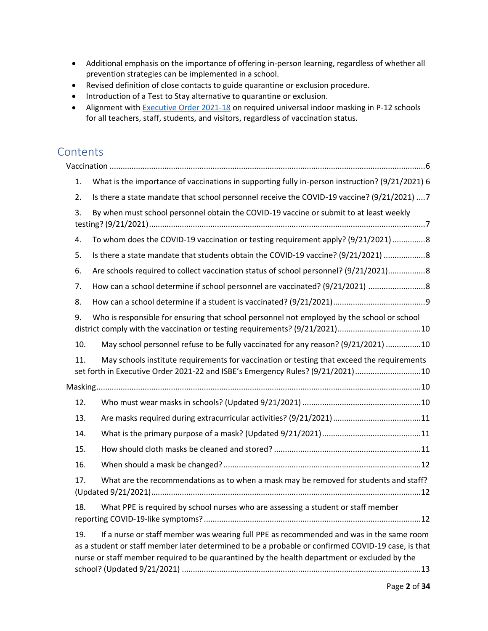- Additional emphasis on the importance of offering in-person learning, regardless of whether all prevention strategies can be implemented in a school.
- Revised definition of close contacts to guide quarantine or exclusion procedure.
- Introduction of a Test to Stay alternative to quarantine or exclusion.
- Alignment with [Executive Order 2021-18](https://www.illinois.gov/government/executive-orders/executive-order.executive-order-number-18.2021.html) on required universal indoor masking in P-12 schools for all teachers, staff, students, and visitors, regardless of vaccination status.

# **Contents**

| 1.  | What is the importance of vaccinations in supporting fully in-person instruction? (9/21/2021) 6                                                                                                                                                                                               |
|-----|-----------------------------------------------------------------------------------------------------------------------------------------------------------------------------------------------------------------------------------------------------------------------------------------------|
| 2.  | Is there a state mandate that school personnel receive the COVID-19 vaccine? (9/21/2021) 7                                                                                                                                                                                                    |
| 3.  | By when must school personnel obtain the COVID-19 vaccine or submit to at least weekly                                                                                                                                                                                                        |
| 4.  | To whom does the COVID-19 vaccination or testing requirement apply? (9/21/2021) 8                                                                                                                                                                                                             |
| 5.  | Is there a state mandate that students obtain the COVID-19 vaccine? (9/21/2021)  8                                                                                                                                                                                                            |
| 6.  | Are schools required to collect vaccination status of school personnel? (9/21/2021) 8                                                                                                                                                                                                         |
| 7.  | How can a school determine if school personnel are vaccinated? (9/21/2021)                                                                                                                                                                                                                    |
| 8.  |                                                                                                                                                                                                                                                                                               |
| 9.  | Who is responsible for ensuring that school personnel not employed by the school or school                                                                                                                                                                                                    |
| 10. | May school personnel refuse to be fully vaccinated for any reason? (9/21/2021) 10                                                                                                                                                                                                             |
| 11. | May schools institute requirements for vaccination or testing that exceed the requirements<br>set forth in Executive Order 2021-22 and ISBE's Emergency Rules? (9/21/2021)10                                                                                                                  |
|     |                                                                                                                                                                                                                                                                                               |
| 12. |                                                                                                                                                                                                                                                                                               |
| 13. |                                                                                                                                                                                                                                                                                               |
| 14. |                                                                                                                                                                                                                                                                                               |
| 15. |                                                                                                                                                                                                                                                                                               |
| 16. |                                                                                                                                                                                                                                                                                               |
| 17. | What are the recommendations as to when a mask may be removed for students and staff?                                                                                                                                                                                                         |
| 18. | What PPE is required by school nurses who are assessing a student or staff member                                                                                                                                                                                                             |
| 19. | If a nurse or staff member was wearing full PPE as recommended and was in the same room<br>as a student or staff member later determined to be a probable or confirmed COVID-19 case, is that<br>nurse or staff member required to be quarantined by the health department or excluded by the |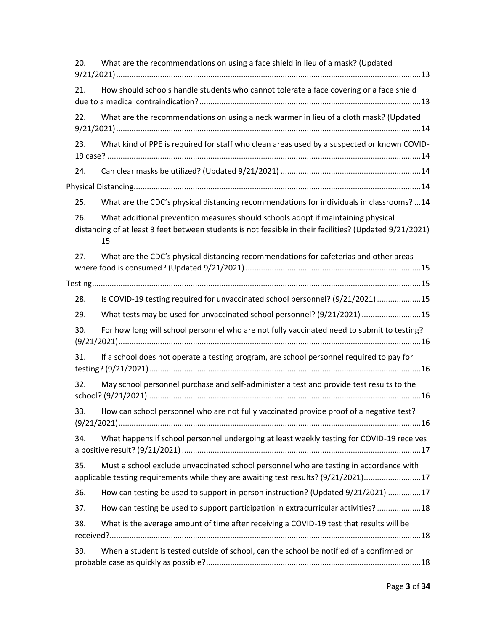| 20. | What are the recommendations on using a face shield in lieu of a mask? (Updated                                                                                                                   |
|-----|---------------------------------------------------------------------------------------------------------------------------------------------------------------------------------------------------|
| 21. | How should schools handle students who cannot tolerate a face covering or a face shield                                                                                                           |
| 22. | What are the recommendations on using a neck warmer in lieu of a cloth mask? (Updated                                                                                                             |
| 23. | What kind of PPE is required for staff who clean areas used by a suspected or known COVID-                                                                                                        |
| 24. |                                                                                                                                                                                                   |
|     |                                                                                                                                                                                                   |
| 25. | What are the CDC's physical distancing recommendations for individuals in classrooms?  14                                                                                                         |
| 26. | What additional prevention measures should schools adopt if maintaining physical<br>distancing of at least 3 feet between students is not feasible in their facilities? (Updated 9/21/2021)<br>15 |
| 27. | What are the CDC's physical distancing recommendations for cafeterias and other areas                                                                                                             |
|     |                                                                                                                                                                                                   |
| 28. | Is COVID-19 testing required for unvaccinated school personnel? (9/21/2021) 15                                                                                                                    |
| 29. | What tests may be used for unvaccinated school personnel? (9/21/2021) 15                                                                                                                          |
| 30. | For how long will school personnel who are not fully vaccinated need to submit to testing?                                                                                                        |
| 31. | If a school does not operate a testing program, are school personnel required to pay for                                                                                                          |
| 32. | May school personnel purchase and self-administer a test and provide test results to the                                                                                                          |
| 33. | How can school personnel who are not fully vaccinated provide proof of a negative test?                                                                                                           |
| 34. | What happens if school personnel undergoing at least weekly testing for COVID-19 receives                                                                                                         |
| 35. | Must a school exclude unvaccinated school personnel who are testing in accordance with<br>applicable testing requirements while they are awaiting test results? (9/21/2021)17                     |
| 36. | How can testing be used to support in-person instruction? (Updated 9/21/2021) 17                                                                                                                  |
| 37. | How can testing be used to support participation in extracurricular activities? 18                                                                                                                |
| 38. | What is the average amount of time after receiving a COVID-19 test that results will be                                                                                                           |
| 39. | When a student is tested outside of school, can the school be notified of a confirmed or                                                                                                          |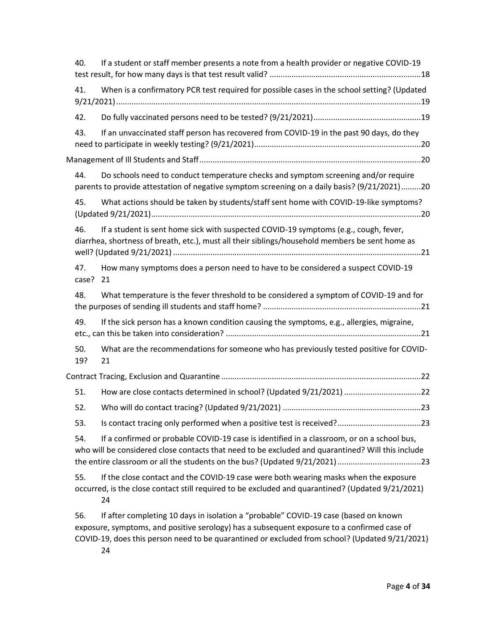| 40.          | If a student or staff member presents a note from a health provider or negative COVID-19                                                                                                                                                                                             |
|--------------|--------------------------------------------------------------------------------------------------------------------------------------------------------------------------------------------------------------------------------------------------------------------------------------|
| 41.          | When is a confirmatory PCR test required for possible cases in the school setting? (Updated                                                                                                                                                                                          |
| 42.          |                                                                                                                                                                                                                                                                                      |
| 43.          | If an unvaccinated staff person has recovered from COVID-19 in the past 90 days, do they                                                                                                                                                                                             |
|              |                                                                                                                                                                                                                                                                                      |
| 44.          | Do schools need to conduct temperature checks and symptom screening and/or require<br>parents to provide attestation of negative symptom screening on a daily basis? (9/21/2021)20                                                                                                   |
| 45.          | What actions should be taken by students/staff sent home with COVID-19-like symptoms?                                                                                                                                                                                                |
| 46.          | If a student is sent home sick with suspected COVID-19 symptoms (e.g., cough, fever,<br>diarrhea, shortness of breath, etc.), must all their siblings/household members be sent home as                                                                                              |
| 47.<br>case? | How many symptoms does a person need to have to be considered a suspect COVID-19<br>21                                                                                                                                                                                               |
| 48.          | What temperature is the fever threshold to be considered a symptom of COVID-19 and for                                                                                                                                                                                               |
| 49.          | If the sick person has a known condition causing the symptoms, e.g., allergies, migraine,                                                                                                                                                                                            |
| 50.<br>19?   | What are the recommendations for someone who has previously tested positive for COVID-<br>21                                                                                                                                                                                         |
|              |                                                                                                                                                                                                                                                                                      |
| 51.          | How are close contacts determined in school? (Updated 9/21/2021) 22                                                                                                                                                                                                                  |
| 52.          |                                                                                                                                                                                                                                                                                      |
| 53.          |                                                                                                                                                                                                                                                                                      |
| 54.          | If a confirmed or probable COVID-19 case is identified in a classroom, or on a school bus,<br>who will be considered close contacts that need to be excluded and quarantined? Will this include<br>the entire classroom or all the students on the bus? (Updated 9/21/2021) 23       |
| 55.          | If the close contact and the COVID-19 case were both wearing masks when the exposure<br>occurred, is the close contact still required to be excluded and quarantined? (Updated 9/21/2021)<br>24                                                                                      |
| 56.          | If after completing 10 days in isolation a "probable" COVID-19 case (based on known<br>exposure, symptoms, and positive serology) has a subsequent exposure to a confirmed case of<br>COVID-19, does this person need to be quarantined or excluded from school? (Updated 9/21/2021) |

[24](#page-23-1)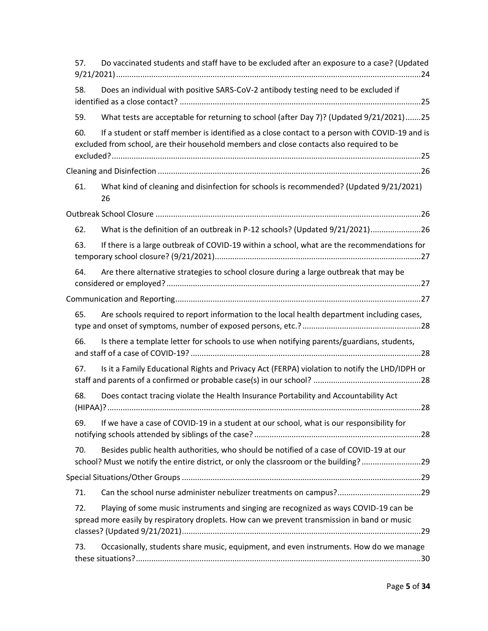| 57. | Do vaccinated students and staff have to be excluded after an exposure to a case? (Updated                                                                                                 |  |
|-----|--------------------------------------------------------------------------------------------------------------------------------------------------------------------------------------------|--|
| 58. | Does an individual with positive SARS-CoV-2 antibody testing need to be excluded if                                                                                                        |  |
| 59. | What tests are acceptable for returning to school (after Day 7)? (Updated 9/21/2021)25                                                                                                     |  |
| 60. | If a student or staff member is identified as a close contact to a person with COVID-19 and is<br>excluded from school, are their household members and close contacts also required to be |  |
|     |                                                                                                                                                                                            |  |
| 61. | What kind of cleaning and disinfection for schools is recommended? (Updated 9/21/2021)<br>26                                                                                               |  |
|     |                                                                                                                                                                                            |  |
| 62. | What is the definition of an outbreak in P-12 schools? (Updated 9/21/2021)26                                                                                                               |  |
| 63. | If there is a large outbreak of COVID-19 within a school, what are the recommendations for                                                                                                 |  |
| 64. | Are there alternative strategies to school closure during a large outbreak that may be                                                                                                     |  |
|     |                                                                                                                                                                                            |  |
| 65. | Are schools required to report information to the local health department including cases,                                                                                                 |  |
| 66. | Is there a template letter for schools to use when notifying parents/guardians, students,                                                                                                  |  |
| 67. | Is it a Family Educational Rights and Privacy Act (FERPA) violation to notify the LHD/IDPH or                                                                                              |  |
| 68. | Does contact tracing violate the Health Insurance Portability and Accountability Act                                                                                                       |  |
| 69. | If we have a case of COVID-19 in a student at our school, what is our responsibility for                                                                                                   |  |
| 70. | Besides public health authorities, who should be notified of a case of COVID-19 at our<br>school? Must we notify the entire district, or only the classroom or the building?29             |  |
|     |                                                                                                                                                                                            |  |
| 71. |                                                                                                                                                                                            |  |
| 72. | Playing of some music instruments and singing are recognized as ways COVID-19 can be<br>spread more easily by respiratory droplets. How can we prevent transmission in band or music       |  |
| 73. | Occasionally, students share music, equipment, and even instruments. How do we manage                                                                                                      |  |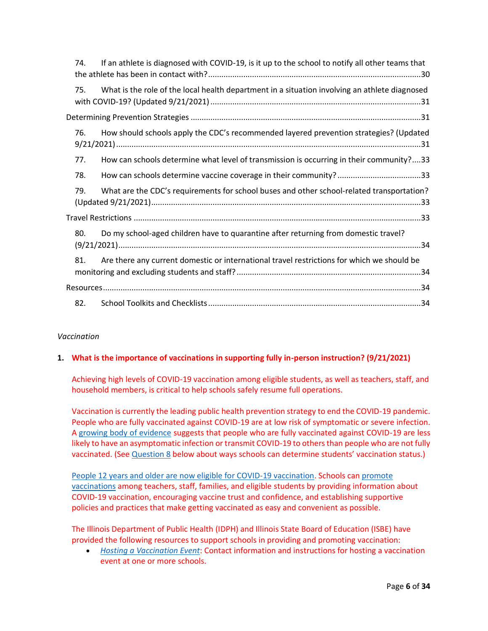| 74. | If an athlete is diagnosed with COVID-19, is it up to the school to notify all other teams that |
|-----|-------------------------------------------------------------------------------------------------|
| 75. | What is the role of the local health department in a situation involving an athlete diagnosed   |
|     |                                                                                                 |
| 76. | How should schools apply the CDC's recommended layered prevention strategies? (Updated          |
| 77. | How can schools determine what level of transmission is occurring in their community?33         |
| 78. |                                                                                                 |
| 79. | What are the CDC's requirements for school buses and other school-related transportation?       |
|     |                                                                                                 |
| 80. | Do my school-aged children have to quarantine after returning from domestic travel?             |
| 81. | Are there any current domestic or international travel restrictions for which we should be      |
|     |                                                                                                 |
| 82. |                                                                                                 |

# <span id="page-5-0"></span>*Vaccination*

# <span id="page-5-1"></span>**1. What is the importance of vaccinations in supporting fully in-person instruction? (9/21/2021)**

Achieving high levels of COVID-19 vaccination among eligible students, as well as teachers, staff, and household members, is critical to help schools safely resume full operations.

Vaccination is currently the leading public health prevention strategy to end the COVID-19 pandemic. People who are fully vaccinated against COVID-19 are at low risk of symptomatic or severe infection. A [growing body of evidence](https://www.cdc.gov/coronavirus/2019-ncov/science/science-briefs/fully-vaccinated-people.html?CDC_AA_refVal=https%3A%2F%2Fwww.cdc.gov%2Fcoronavirus%2F2019-ncov%2Fmore%2Ffully-vaccinated-people.html) suggests that people who are fully vaccinated against COVID-19 are less likely to have an asymptomatic infection or transmit COVID-19 to others than people who are not fully vaccinated. (See [Question 8](#page-8-0) below about ways schools can determine students' vaccination status.)

[People 12 years and older are now eligible for COVID-19 vaccination.](https://www.cdc.gov/coronavirus/2019-ncov/vaccines/recommendations/adolescents.html) Schools can [promote](https://www.cdc.gov/vaccines/covid-19/planning/school-located-clinics/how-schools-can-support.html)  [vaccinations](https://www.cdc.gov/vaccines/covid-19/planning/school-located-clinics/how-schools-can-support.html) among teachers, staff, families, and eligible students by providing information about COVID-19 vaccination, encouraging vaccine trust and confidence, and establishing supportive policies and practices that make getting vaccinated as easy and convenient as possible.

The Illinois Department of Public Health (IDPH) and Illinois State Board of Education (ISBE) have provided the following resources to support schools in providing and promoting vaccination:

• *[Hosting a Vaccination Event](https://www.isbe.net/Documents/Vaccination-site-request-ISBE-IDPH.pdf)*: Contact information and instructions for hosting a vaccination event at one or more schools.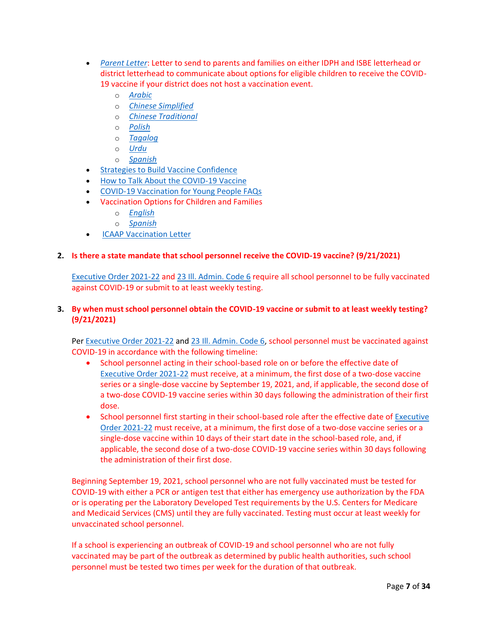- *[Parent Letter](https://www.isbe.net/_layouts/Download.aspx?SourceUrl=/Documents/Parent-Letter-Vaccine.docx)*: Letter to send to parents and families on either IDPH and ISBE letterhead or district letterhead to communicate about options for eligible children to receive the COVID-19 vaccine if your district does not host a vaccination event.
	- o *[Arabic](https://www.isbe.net/_layouts/Download.aspx?SourceUrl=/Documents/Parent-Letter-Vaccine-Arabic.docx)*
	- o *[Chinese Simplified](https://www.isbe.net/_layouts/Download.aspx?SourceUrl=/Documents/Parent-Letter-Vaccine-Chinese-Simplified.docx)*
	- o *[Chinese Traditional](https://www.isbe.net/_layouts/Download.aspx?SourceUrl=/Documents/Parent-Letter-Vaccine-Chinese-Traditional.docx)*
	- o *[Polish](https://www.isbe.net/_layouts/Download.aspx?SourceUrl=/Documents/Parent-Letter-Vaccine-Polish.docx)*
	- o *[Tagalog](https://www.isbe.net/_layouts/Download.aspx?SourceUrl=/Documents/Parent-Letter-Vaccine-Tagalog.docx)*
	- o *[Urdu](https://www.isbe.net/_layouts/Download.aspx?SourceUrl=/Documents/Parent-Letter-Vaccine-Urdu.docx)*
	- o *[Spanish](https://www.isbe.net/_layouts/Download.aspx?SourceUrl=/Documents/Parent-Letter-Vaccine-Spanish.docx)*
- [Strategies to Build Vaccine Confidence](https://www.isbe.net/Documents/Strategies-to-Build-Vaccine-Confidence.pdf)
- [How to Talk About the COVID-19 Vaccine](https://www.isbe.net/Documents/How-to-Talk-About-the-COVID-19-Vaccine.pdf)
- [COVID-19 Vaccination for Young People FAQs](https://www.isbe.net/Documents/20210611-COVID-19-Youth-Vaccination.pdf)
- Vaccination Options for Children and Families
	- o *[English](https://www.isbe.net/Documents/Infographic-COVID-19-12-and-Over-Vaccinated.pdf)*
	- o *[Spanish](https://www.isbe.net/Documents/Infographic-COVID-19-12-and-Over-Vaccinated-Spanish.pdf)*
- [ICAAP Vaccination Letter](https://www.isbe.net/Documents/ICAAP-Vaccination-Letter-20210721.pdf)

# <span id="page-6-0"></span>**2. Is there a state mandate that school personnel receive the COVID-19 vaccine? (9/21/2021)**

[Executive Order 2021-22](https://www.illinois.gov/government/executive-orders/executive-order.executive-order-number-22.2021.html) and [23 Ill. Admin. Code 6](https://www.isbe.net/Documents/18389_23-6RG-E.pdf) require all school personnel to be fully vaccinated against COVID-19 or submit to at least weekly testing.

# <span id="page-6-1"></span>**3. By when must school personnel obtain the COVID-19 vaccine or submit to at least weekly testing? (9/21/2021)**

Pe[r Executive Order 2021-22](https://www.illinois.gov/government/executive-orders/executive-order.executive-order-number-22.2021.html) and [23 Ill. Admin. Code 6,](https://www.isbe.net/Documents/18389_23-6RG-E.pdf) school personnel must be vaccinated against COVID-19 in accordance with the following timeline:

- School personnel acting in their school-based role on or before the effective date of [Executive Order 2021-22](https://www.illinois.gov/government/executive-orders/executive-order.executive-order-number-22.2021.html) must receive, at a minimum, the first dose of a two-dose vaccine series or a single-dose vaccine by September 19, 2021, and, if applicable, the second dose of a two-dose COVID-19 vaccine series within 30 days following the administration of their first dose.
- School personnel first starting in their school-based role after the effective date o[f Executive](https://www.illinois.gov/government/executive-orders/executive-order.executive-order-number-22.2021.html)  [Order 2021-22](https://www.illinois.gov/government/executive-orders/executive-order.executive-order-number-22.2021.html) must receive, at a minimum, the first dose of a two-dose vaccine series or a single-dose vaccine within 10 days of their start date in the school-based role, and, if applicable, the second dose of a two-dose COVID-19 vaccine series within 30 days following the administration of their first dose.

Beginning September 19, 2021, school personnel who are not fully vaccinated must be tested for COVID-19 with either a PCR or antigen test that either has emergency use authorization by the FDA or is operating per the Laboratory Developed Test requirements by the U.S. Centers for Medicare and Medicaid Services (CMS) until they are fully vaccinated. Testing must occur at least weekly for unvaccinated school personnel.

If a school is experiencing an outbreak of COVID-19 and school personnel who are not fully vaccinated may be part of the outbreak as determined by public health authorities, such school personnel must be tested two times per week for the duration of that outbreak.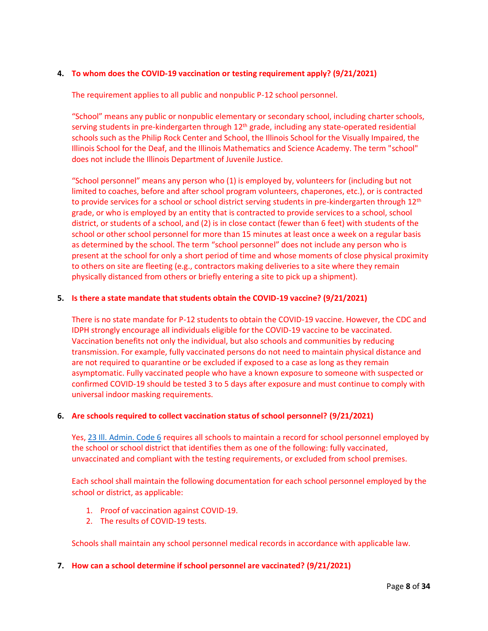# <span id="page-7-0"></span>**4. To whom does the COVID-19 vaccination or testing requirement apply? (9/21/2021)**

The requirement applies to all public and nonpublic P-12 school personnel.

"School" means any public or nonpublic elementary or secondary school, including charter schools, serving students in pre-kindergarten through 12<sup>th</sup> grade, including any state-operated residential schools such as the Philip Rock Center and School, the Illinois School for the Visually Impaired, the Illinois School for the Deaf, and the Illinois Mathematics and Science Academy. The term "school" does not include the Illinois Department of Juvenile Justice.

"School personnel" means any person who (1) is employed by, volunteers for (including but not limited to coaches, before and after school program volunteers, chaperones, etc.), or is contracted to provide services for a school or school district serving students in pre-kindergarten through  $12<sup>th</sup>$ grade, or who is employed by an entity that is contracted to provide services to a school, school district, or students of a school, and (2) is in close contact (fewer than 6 feet) with students of the school or other school personnel for more than 15 minutes at least once a week on a regular basis as determined by the school. The term "school personnel" does not include any person who is present at the school for only a short period of time and whose moments of close physical proximity to others on site are fleeting (e.g., contractors making deliveries to a site where they remain physically distanced from others or briefly entering a site to pick up a shipment).

# <span id="page-7-1"></span>**5. Is there a state mandate that students obtain the COVID-19 vaccine? (9/21/2021)**

There is no state mandate for P-12 students to obtain the COVID-19 vaccine. However, the CDC and IDPH strongly encourage all individuals eligible for the COVID-19 vaccine to be vaccinated. Vaccination benefits not only the individual, but also schools and communities by reducing transmission. For example, fully vaccinated persons do not need to maintain physical distance and are not required to quarantine or be excluded if exposed to a case as long as they remain asymptomatic. Fully vaccinated people who have a known exposure to someone with suspected or confirmed COVID-19 should be tested 3 to 5 days after exposure and must continue to comply with universal indoor masking requirements.

# <span id="page-7-2"></span>**6. Are schools required to collect vaccination status of school personnel? (9/21/2021)**

Yes, [23 Ill. Admin. Code 6](https://www.isbe.net/Documents/18389_23-6RG-E.pdf) requires all schools to maintain a record for school personnel employed by the school or school district that identifies them as one of the following: fully vaccinated, unvaccinated and compliant with the testing requirements, or excluded from school premises.

Each school shall maintain the following documentation for each school personnel employed by the school or district, as applicable:

- 1. Proof of vaccination against COVID-19.
- 2. The results of COVID-19 tests.

Schools shall maintain any school personnel medical records in accordance with applicable law.

# <span id="page-7-3"></span>**7. How can a school determine if school personnel are vaccinated? (9/21/2021)**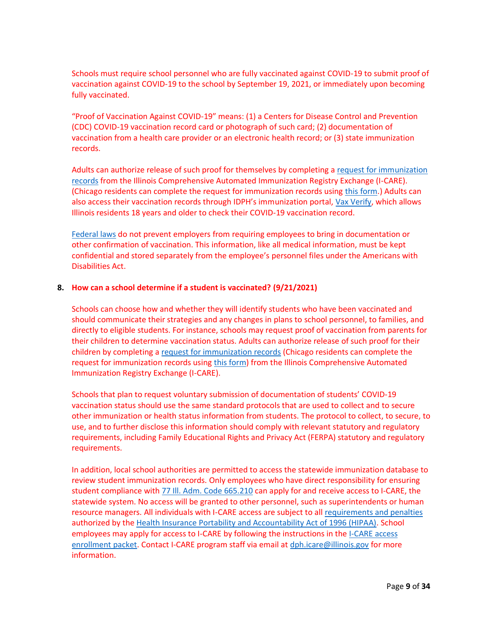Schools must require school personnel who are fully vaccinated against COVID-19 to submit proof of vaccination against COVID-19 to the school by September 19, 2021, or immediately upon becoming fully vaccinated.

"Proof of Vaccination Against COVID-19" means: (1) a Centers for Disease Control and Prevention (CDC) COVID-19 vaccination record card or photograph of such card; (2) documentation of vaccination from a health care provider or an electronic health record; or (3) state immunization records.

Adults can authorize release of such proof for themselves by completing a [request for immunization](https://dph.illinois.gov/topics-services/prevention-wellness/immunization/icare)  [records](https://dph.illinois.gov/topics-services/prevention-wellness/immunization/icare) from the Illinois Comprehensive Automated Immunization Registry Exchange (I-CARE). (Chicago residents can complete the request for immunization records using [this form.](https://redcap.dph.illinois.gov/surveys/?s=HYHDYDTL8D)) Adults can also access their vaccination records through IDPH's immunization portal, [Vax Verify,](https://idphportal.illinois.gov/) which allows Illinois residents 18 years and older to check their COVID-19 vaccination record.

[Federal laws](https://www.eeoc.gov/wysk/what-you-should-know-about-covid-19-and-ada-rehabilitation-act-and-other-eeo-laws) do not prevent employers from requiring employees to bring in documentation or other confirmation of vaccination. This information, like all medical information, must be kept confidential and stored separately from the employee's personnel files under the Americans with Disabilities Act.

# <span id="page-8-0"></span>**8. How can a school determine if a student is vaccinated? (9/21/2021)**

Schools can choose how and whether they will identify students who have been vaccinated and should communicate their strategies and any changes in plans to school personnel, to families, and directly to eligible students. For instance, schools may request proof of vaccination from parents for their children to determine vaccination status. Adults can authorize release of such proof for their children by completing [a request for immunization records](https://dph.illinois.gov/topics-services/prevention-wellness/immunization/icare) (Chicago residents can complete the request for immunization records using [this form\)](https://redcap.dph.illinois.gov/surveys/?s=HYHDYDTL8D) from the Illinois Comprehensive Automated Immunization Registry Exchange (I-CARE).

Schools that plan to request voluntary submission of documentation of students' COVID-19 vaccination status should use the same standard protocols that are used to collect and to secure other immunization or health status information from students. The protocol to collect, to secure, to use, and to further disclose this information should comply with relevant statutory and regulatory requirements, including Family Educational Rights and Privacy Act (FERPA) statutory and regulatory requirements.

In addition, local school authorities are permitted to access the statewide immunization database to review student immunization records. Only employees who have direct responsibility for ensuring student compliance with  $\frac{77}{10}$ . Adm. Code 665.210 can apply for and receive access to I-CARE, the statewide system. No access will be granted to other personnel, such as superintendents or human resource managers. All individuals with I-CARE access are subject to al[l requirements and penalties](https://www.hhs.gov/hipaa/for-professionals/special-topics/hipaa-covid19/index.html) authorized by the [Health Insurance Portability and Accountability Act of 1996 \(HIPAA\).](https://www.cdc.gov/phlp/publications/topic/hipaa.html) School employees may apply for access to I-CARE by following the instructions in the I-CARE access [enrollment packet.](https://dph.illinois.gov/sites/default/files/forms/i-care-access-enrollment-packet.pdf) Contact I-CARE program staff via email at [dph.icare@illinois.gov](mailto:dph.icare@illinois.gov) for more information.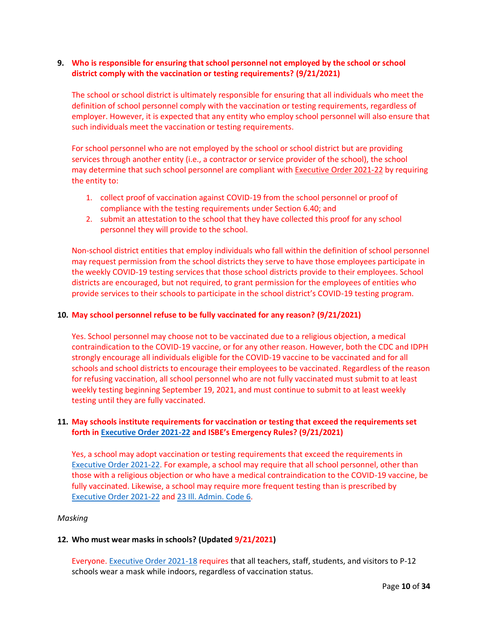# <span id="page-9-0"></span>**9. Who is responsible for ensuring that school personnel not employed by the school or school district comply with the vaccination or testing requirements? (9/21/2021)**

The school or school district is ultimately responsible for ensuring that all individuals who meet the definition of school personnel comply with the vaccination or testing requirements, regardless of employer. However, it is expected that any entity who employ school personnel will also ensure that such individuals meet the vaccination or testing requirements.

For school personnel who are not employed by the school or school district but are providing services through another entity (i.e., a contractor or service provider of the school), the school may determine that such school personnel are compliant with [Executive](https://www.illinois.gov/government/executive-orders/executive-order.executive-order-number-22.2021.html) Order 2021-22 by requiring the entity to:

- 1. collect proof of vaccination against COVID-19 from the school personnel or proof of compliance with the testing requirements under Section 6.40; and
- 2. submit an attestation to the school that they have collected this proof for any school personnel they will provide to the school.

Non-school district entities that employ individuals who fall within the definition of school personnel may request permission from the school districts they serve to have those employees participate in the weekly COVID-19 testing services that those school districts provide to their employees. School districts are encouraged, but not required, to grant permission for the employees of entities who provide services to their schools to participate in the school district's COVID-19 testing program.

# <span id="page-9-1"></span>**10. May school personnel refuse to be fully vaccinated for any reason? (9/21/2021)**

Yes. School personnel may choose not to be vaccinated due to a religious objection, a medical contraindication to the COVID-19 vaccine, or for any other reason. However, both the CDC and IDPH strongly encourage all individuals eligible for the COVID-19 vaccine to be vaccinated and for all schools and school districts to encourage their employees to be vaccinated. Regardless of the reason for refusing vaccination, all school personnel who are not fully vaccinated must submit to at least weekly testing beginning September 19, 2021, and must continue to submit to at least weekly testing until they are fully vaccinated.

# <span id="page-9-2"></span>**11. May schools institute requirements for vaccination or testing that exceed the requirements set forth i[n Executive Order 2021-22](https://www.illinois.gov/government/executive-orders/executive-order.executive-order-number-22.2021.html) and ISBE's Emergency Rules? (9/21/2021)**

Yes, a school may adopt vaccination or testing requirements that exceed the requirements in [Executive Order 2021-22.](https://www.illinois.gov/government/executive-orders/executive-order.executive-order-number-22.2021.html) For example, a school may require that all school personnel, other than those with a religious objection or who have a medical contraindication to the COVID-19 vaccine, be fully vaccinated. Likewise, a school may require more frequent testing than is prescribed by [Executive Order 2021-22](https://www.illinois.gov/government/executive-orders/executive-order.executive-order-number-22.2021.html) and [23 Ill. Admin. Code 6.](https://www.isbe.net/Documents/18389_23-6RG-E.pdf)

#### <span id="page-9-3"></span>*Masking*

#### <span id="page-9-4"></span>**12. Who must wear masks in schools? (Updated 9/21/2021)**

Everyone. [Executive Order 2021-18](https://www.illinois.gov/government/executive-orders/executive-order.executive-order-number-18.2021.html) requires that all teachers, staff, students, and visitors to P-12 schools wear a mask while indoors, regardless of vaccination status.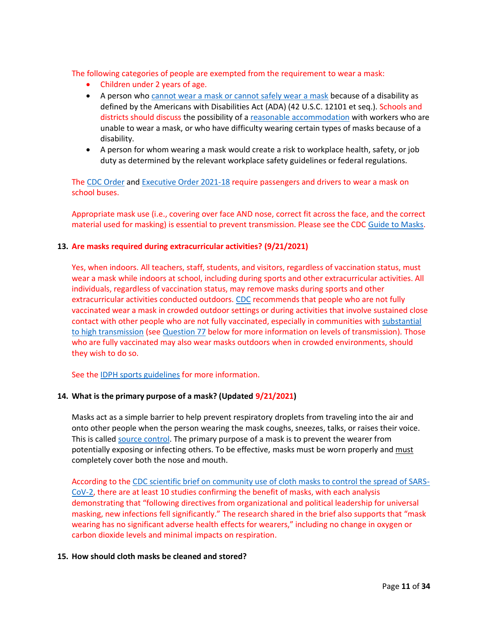The following categories of people are exempted from the requirement to wear a mask:

- Children under 2 years of age.
- A person who [cannot wear a mask or cannot safely wear a mask](https://www.cdc.gov/coronavirus/2019-ncov/prevent-getting-sick/cloth-face-cover-guidance.html#anchor_1619804600020) because of a disability as defined by the Americans with Disabilities Act (ADA) (42 U.S.C. 12101 et seq.). Schools and districts should discuss the possibility of a [reasonable accommodation](https://www.eeoc.gov/wysk/what-you-should-know-about-covid-19-and-ada-rehabilitation-act-and-other-eeo-laws) with workers who are unable to wear a mask, or who have difficulty wearing certain types of masks because of a disability.
- A person for whom wearing a mask would create a risk to workplace health, safety, or job duty as determined by the relevant workplace safety guidelines or federal regulations.

The [CDC Order](https://www.cdc.gov/quarantine/masks/mask-travel-guidance.html) and [Executive Order 2021-18](https://www.illinois.gov/government/executive-orders/executive-order.executive-order-number-18.2021.html) require passengers and drivers to wear a mask on school buses.

Appropriate mask use (i.e., covering over face AND nose, correct fit across the face, and the correct material used for masking) is essential to prevent transmission. Please see the CDC [Guide to Masks.](https://www.cdc.gov/coronavirus/2019-ncov/prevent-getting-sick/about-face-coverings.htm)

# <span id="page-10-0"></span>**13. Are masks required during extracurricular activities? (9/21/2021)**

Yes, when indoors. All teachers, staff, students, and visitors, regardless of vaccination status, must wear a mask while indoors at school, including during sports and other extracurricular activities. All individuals, regardless of vaccination status, may remove masks during sports and other extracurricular activities conducted outdoors. [CDC](https://www.cdc.gov/coronavirus/2019-ncov/prevent-getting-sick/about-face-coverings.html) recommends that people who are not fully vaccinated wear a mask in crowded outdoor settings or during activities that involve sustained close contact with other people who are not fully vaccinated, especially in communities with [substantial](https://covid.cdc.gov/covid-data-tracker/#county-view)  to [high transmission](https://covid.cdc.gov/covid-data-tracker/#county-view) (see [Question 77](#page-32-0) below for more information on levels of transmission). Those who are fully vaccinated may also wear masks outdoors when in crowded environments, should they wish to do so.

See the [IDPH sports guidelines](https://www.dph.illinois.gov/covid19/community-guidance/sports-safety-guidance) for more information.

# <span id="page-10-1"></span>**14. What is the primary purpose of a mask? (Updated 9/21/2021)**

Masks act as a simple barrier to help prevent respiratory droplets from traveling into the air and onto other people when the person wearing the mask coughs, sneezes, talks, or raises their voice. This is called source [control.](https://www.cdc.gov/coronavirus/2019-ncov/prevent-getting-sick/cloth-face-cover-guidance.html) The primary purpose of a mask is to prevent the wearer from potentially exposing or infecting others. To be effective, masks must be worn properly and must completely cover both the nose and mouth.

According to th[e CDC scientific brief on community use of cloth masks to control the spread of SARS-](https://www.cdc.gov/coronavirus/2019-ncov/science/science-briefs/masking-science-sars-cov2.html)[CoV-2,](https://www.cdc.gov/coronavirus/2019-ncov/science/science-briefs/masking-science-sars-cov2.html) there are at least 10 studies confirming the benefit of masks, with each analysis demonstrating that "following directives from organizational and political leadership for universal masking, new infections fell significantly." The research shared in the brief also supports that "mask wearing has no significant adverse health effects for wearers," including no change in oxygen or carbon dioxide levels and minimal impacts on respiration.

### <span id="page-10-2"></span>**15. How should cloth masks be cleaned and stored?**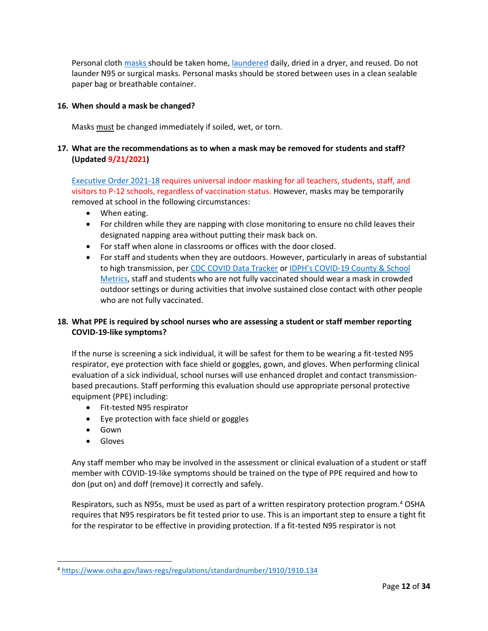Personal cloth [masks](https://www.cdc.gov/coronavirus/2019-ncov/downloads/cloth-face-coverings-information.pdf) should be taken home, [laundered](https://www.cdc.gov/coronavirus/2019-ncov/prevent-getting-sick/how-to-wash-cloth-face-coverings.html) daily, dried in a dryer, and reused. Do not launder N95 or surgical masks. Personal masks should be stored between uses in a clean sealable paper bag or breathable container.

# <span id="page-11-0"></span>**16. When should a mask be changed?**

Masks must be changed immediately if soiled, wet, or torn.

# <span id="page-11-1"></span>**17. What are the recommendations as to when a mask may be removed for students and staff? (Updated 9/21/2021)**

[Executive Order 2021-18](https://www.illinois.gov/government/executive-orders/executive-order.executive-order-number-18.2021.html) requires universal indoor masking for all teachers, students, staff, and visitors to P-12 schools, regardless of vaccination status. However, masks may be temporarily removed at school in the following circumstances:

- When eating.
- For children while they are napping with close monitoring to ensure no child leaves their designated napping area without putting their mask back on.
- For staff when alone in classrooms or offices with the door closed.
- For staff and students when they are outdoors. However, particularly in areas of substantial to high transmission, per [CDC COVID Data Tracker](https://covid.cdc.gov/covid-data-tracker/#county-view) or IDPH's COVID[-19 County & School](http://dph.illinois.gov/covid19/community-guidance/school-guidance)  [Metrics,](http://dph.illinois.gov/covid19/community-guidance/school-guidance) staff and students who are not fully vaccinated should wear a mask in crowded outdoor settings or during activities that involve sustained close contact with other people who are not fully vaccinated.

# <span id="page-11-2"></span>**18. What PPE is required by school nurses who are assessing a student or staff member reporting COVID-19-like symptoms?**

If the nurse is screening a sick individual, it will be safest for them to be wearing a fit-tested N95 respirator, eye protection with face shield or goggles, gown, and gloves. When performing clinical evaluation of a sick individual, school nurses will use enhanced droplet and contact transmissionbased precautions. Staff performing this evaluation should use appropriate personal protective equipment (PPE) including:

- Fit-tested N95 respirator
- Eye protection with face shield or goggles
- Gown
- Gloves

Any staff member who may be involved in the assessment or clinical evaluation of a student or staff member with COVID-19-like symptoms should be trained on the type of PPE required and how to don (put on) and doff (remove) it correctly and safely.

Respirators, such as N95s, must be used as part of a written respiratory protection program.<sup>4</sup> OSHA requires that N95 respirators be fit tested prior to use. This is an important step to ensure a tight fit for the respirator to be effective in providing protection. If a fit-tested N95 respirator is not

<sup>4</sup> <https://www.osha.gov/laws-regs/regulations/standardnumber/1910/1910.134>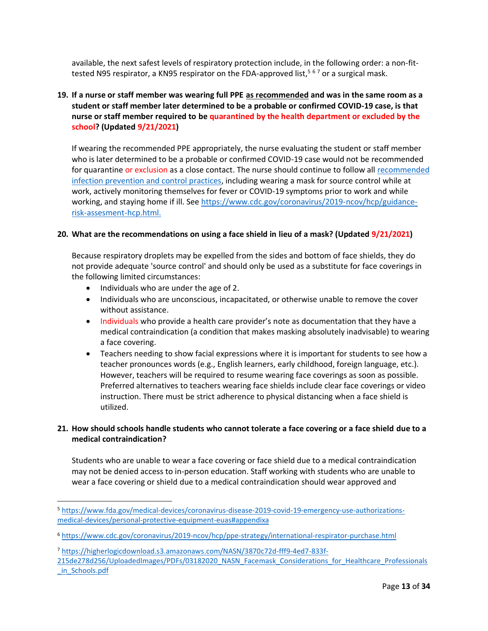available, the next safest levels of respiratory protection include, in the following order: a non-fittested N95 respirator, a KN95 respirator on the FDA-approved list,<sup>567</sup> or a surgical mask.

# <span id="page-12-0"></span>**19. If a nurse or staff member was wearing full PPE as recommended and was in the same room as a student or staff member later determined to be a probable or confirmed COVID-19 case, is that nurse or staff member required to be quarantined by the health department or excluded by the school? (Updated 9/21/2021)**

If wearing the recommended PPE appropriately, the nurse evaluating the student or staff member who is later determined to be a probable or confirmed COVID-19 case would not be recommended for quarantine or exclusion as a close contact. The nurse should continue to follow all recommended [infection prevention and control practices,](https://www.cdc.gov/coronavirus/2019-ncov/hcp/infection-control-recommendations.html) including wearing a mask for source control while at work, actively monitoring themselves for fever or COVID-19 symptoms prior to work and while working, and staying home if ill. Se[e https://www.cdc.gov/coronavirus/2019-ncov/hcp/guidance](https://www.cdc.gov/coronavirus/2019-ncov/hcp/guidance-risk-assesment-hcp.html)[risk-assesment-hcp.html.](https://www.cdc.gov/coronavirus/2019-ncov/hcp/guidance-risk-assesment-hcp.html)

### <span id="page-12-1"></span>**20. What are the recommendations on using a face shield in lieu of a mask? (Updated 9/21/2021)**

Because respiratory droplets may be expelled from the sides and bottom of face shields, they do not provide adequate 'source control' and should only be used as a substitute for face coverings in the following limited circumstances:

- Individuals who are under the age of 2.
- Individuals who are unconscious, incapacitated, or otherwise unable to remove the cover without assistance.
- Individuals who provide a health care provider's note as documentation that they have a medical contraindication (a condition that makes masking absolutely inadvisable) to wearing a face covering.
- Teachers needing to show facial expressions where it is important for students to see how a teacher pronounces words (e.g., English learners, early childhood, foreign language, etc.). However, teachers will be required to resume wearing face coverings as soon as possible. Preferred alternatives to teachers wearing face shields include clear face coverings or video instruction. There must be strict adherence to physical distancing when a face shield is utilized.

# <span id="page-12-2"></span>**21. How should schools handle students who cannot tolerate a face covering or a face shield due to a medical contraindication?**

Students who are unable to wear a face covering or face shield due to a medical contraindication may not be denied access to in-person education. Staff working with students who are unable to wear a face covering or shield due to a medical contraindication should wear approved and

<sup>5</sup> [https://www.fda.gov/medical-devices/coronavirus-disease-2019-covid-19-emergency-use-authorizations](https://www.fda.gov/medical-devices/coronavirus-disease-2019-covid-19-emergency-use-authorizations-medical-devices/personal-protective-equipment-euas#appendixa)[medical-devices/personal-protective-equipment-euas#appendixa](https://www.fda.gov/medical-devices/coronavirus-disease-2019-covid-19-emergency-use-authorizations-medical-devices/personal-protective-equipment-euas#appendixa)

<sup>6</sup> <https://www.cdc.gov/coronavirus/2019-ncov/hcp/ppe-strategy/international-respirator-purchase.html>

<sup>7</sup> [https://higherlogicdownload.s3.amazonaws.com/NASN/3870c72d-fff9-4ed7-833f-](https://higherlogicdownload.s3.amazonaws.com/NASN/3870c72d-fff9-4ed7-833f-215de278d256/UploadedImages/PDFs/03182020_NASN_Facemask_Considerations_for_Healthcare_Professionals_in_Schools.pdf)

[<sup>215</sup>de278d256/UploadedImages/PDFs/03182020\\_NASN\\_Facemask\\_Considerations\\_for\\_Healthcare\\_Professionals](https://higherlogicdownload.s3.amazonaws.com/NASN/3870c72d-fff9-4ed7-833f-215de278d256/UploadedImages/PDFs/03182020_NASN_Facemask_Considerations_for_Healthcare_Professionals_in_Schools.pdf) [\\_in\\_Schools.pdf](https://higherlogicdownload.s3.amazonaws.com/NASN/3870c72d-fff9-4ed7-833f-215de278d256/UploadedImages/PDFs/03182020_NASN_Facemask_Considerations_for_Healthcare_Professionals_in_Schools.pdf)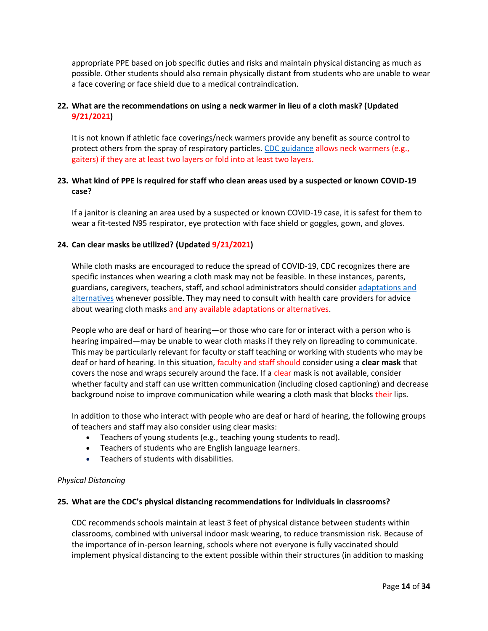appropriate PPE based on job specific duties and risks and maintain physical distancing as much as possible. Other students should also remain physically distant from students who are unable to wear a face covering or face shield due to a medical contraindication.

# <span id="page-13-0"></span>**22. What are the recommendations on using a neck warmer in lieu of a cloth mask? (Updated 9/21/2021)**

It is not known if athletic face coverings/neck warmers provide any benefit as source control to protect others from the spray of respiratory particles. [CDC guidance](https://www.cdc.gov/coronavirus/2019-ncov/prevent-getting-sick/about-face-coverings.html) allows neck warmers (e.g., gaiters) if they are at least two layers or fold into at least two layers.

# <span id="page-13-1"></span>**23. What kind of PPE is required for staff who clean areas used by a suspected or known COVID-19 case?**

If a janitor is cleaning an area used by a suspected or known COVID-19 case, it is safest for them to wear a fit-tested N95 respirator, eye protection with face shield or goggles, gown, and gloves.

# <span id="page-13-2"></span>**24. Can clear masks be utilized? (Updated 9/21/2021)**

While cloth masks are encouraged to reduce the spread of COVID-19, CDC recognizes there are specific instances when wearing a cloth mask may not be feasible. In these instances, parents, guardians, caregivers, teachers, staff, and school administrators should consider [adaptations and](https://www.cdc.gov/coronavirus/2019-ncov/prevent-getting-sick/cloth-face-cover-guidance.html#feasibility-adaptations)  [alternatives](https://www.cdc.gov/coronavirus/2019-ncov/prevent-getting-sick/cloth-face-cover-guidance.html#feasibility-adaptations) whenever possible. They may need to consult with health care providers for advice about wearing cloth masks and any available adaptations or alternatives.

People who are deaf or hard of hearing—or those who care for or interact with a person who is hearing impaired—may be unable to wear cloth masks if they rely on lipreading to communicate. This may be particularly relevant for faculty or staff teaching or working with students who may be deaf or hard of hearing. In this situation, faculty and staff should consider using a **clear mask** that covers the nose and wraps securely around the face. If a clear mask is not available, consider whether faculty and staff can use written communication (including closed captioning) and decrease background noise to improve communication while wearing a cloth mask that blocks their lips.

In addition to those who interact with people who are deaf or hard of hearing, the following groups of teachers and staff may also consider using clear masks:

- Teachers of young students (e.g., teaching young students to read).
- Teachers of students who are English language learners.
- Teachers of students with disabilities.

#### <span id="page-13-3"></span>*Physical Distancing*

#### <span id="page-13-4"></span>**25. What are the CDC's physical distancing recommendations for individuals in classrooms?**

CDC recommends schools maintain at least 3 feet of physical distance between students within classrooms, combined with universal indoor mask wearing, to reduce transmission risk. Because of the importance of in-person learning, schools where not everyone is fully vaccinated should implement physical distancing to the extent possible within their structures (in addition to masking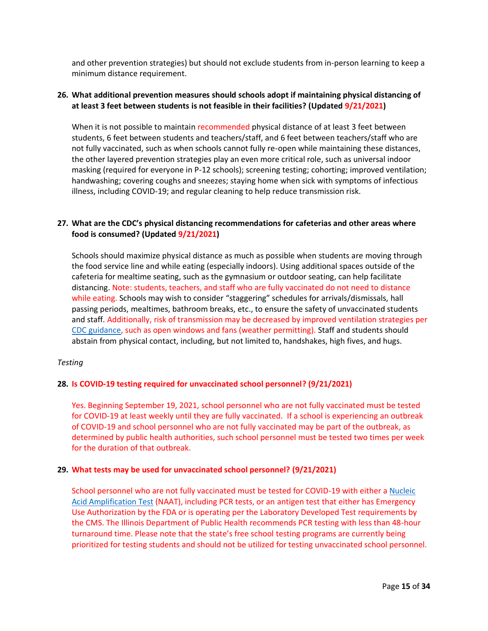and other prevention strategies) but should not exclude students from in-person learning to keep a minimum distance requirement.

# <span id="page-14-0"></span>**26. What additional prevention measures should schools adopt if maintaining physical distancing of at least 3 feet between students is not feasible in their facilities? (Updated 9/21/2021)**

When it is not possible to maintain recommended physical distance of at least 3 feet between students, 6 feet between students and teachers/staff, and 6 feet between teachers/staff who are not fully vaccinated, such as when schools cannot fully re-open while maintaining these distances, the other layered prevention strategies play an even more critical role, such as universal indoor masking (required for everyone in P-12 schools); screening testing; cohorting; improved ventilation; handwashing; covering coughs and sneezes; staying home when sick with symptoms of infectious illness, including COVID-19; and regular cleaning to help reduce transmission risk.

# <span id="page-14-1"></span>**27. What are the CDC's physical distancing recommendations for cafeterias and other areas where food is consumed? (Updated 9/21/2021)**

Schools should maximize physical distance as much as possible when students are moving through the food service line and while eating (especially indoors). Using additional spaces outside of the cafeteria for mealtime seating, such as the gymnasium or outdoor seating, can help facilitate distancing. Note: students, teachers, and staff who are fully vaccinated do not need to distance while eating. Schools may wish to consider "staggering" schedules for arrivals/dismissals, hall passing periods, mealtimes, bathroom breaks, etc., to ensure the safety of unvaccinated students and staff. Additionally, risk of transmission may be decreased by improved ventilation strategies per [CDC guidance,](https://www.cdc.gov/coronavirus/2019-ncov/community/schools-childcare/ventilation.html) such as open windows and fans (weather permitting). Staff and students should abstain from physical contact, including, but not limited to, handshakes, high fives, and hugs.

# <span id="page-14-2"></span>*Testing*

#### <span id="page-14-3"></span>**28. Is COVID-19 testing required for unvaccinated school personnel? (9/21/2021)**

Yes. Beginning September 19, 2021, school personnel who are not fully vaccinated must be tested for COVID-19 at least weekly until they are fully vaccinated. If a school is experiencing an outbreak of COVID-19 and school personnel who are not fully vaccinated may be part of the outbreak, as determined by public health authorities, such school personnel must be tested two times per week for the duration of that outbreak.

#### <span id="page-14-4"></span>**29. What tests may be used for unvaccinated school personnel? (9/21/2021)**

School personnel who are not fully vaccinated must be tested for COVID-19 with either [a Nucleic](https://www.cdc.gov/coronavirus/2019-ncov/lab/naats.html)  [Acid Amplification Test](https://www.cdc.gov/coronavirus/2019-ncov/lab/naats.html) (NAAT), including PCR tests, or an antigen test that either has Emergency Use Authorization by the FDA or is operating per the Laboratory Developed Test requirements by the CMS. The Illinois Department of Public Health recommends PCR testing with less than 48-hour turnaround time. Please note that the state's free school testing programs are currently being prioritized for testing students and should not be utilized for testing unvaccinated school personnel.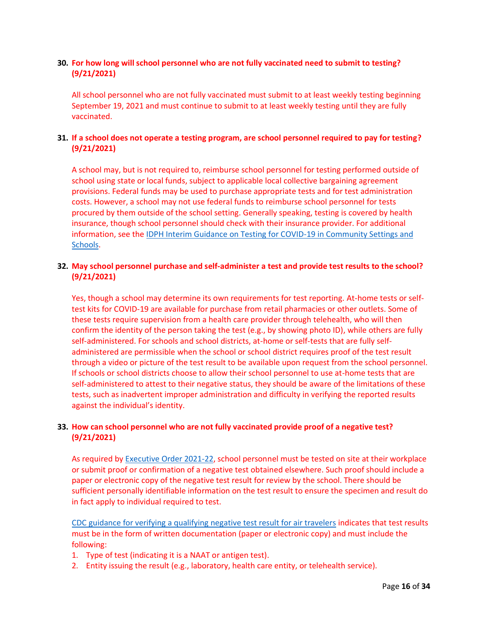# <span id="page-15-0"></span>**30. For how long will school personnel who are not fully vaccinated need to submit to testing? (9/21/2021)**

All school personnel who are not fully vaccinated must submit to at least weekly testing beginning September 19, 2021 and must continue to submit to at least weekly testing until they are fully vaccinated.

# <span id="page-15-1"></span>**31. If a school does not operate a testing program, are school personnel required to pay for testing? (9/21/2021)**

A school may, but is not required to, reimburse school personnel for testing performed outside of school using state or local funds, subject to applicable local collective bargaining agreement provisions. Federal funds may be used to purchase appropriate tests and for test administration costs. However, a school may not use federal funds to reimburse school personnel for tests procured by them outside of the school setting. Generally speaking, testing is covered by health insurance, though school personnel should check with their insurance provider. For additional information, see the [IDPH Interim Guidance on Testing for COVID-19 in Community Settings and](https://www.dph.illinois.gov/covid19/community-guidance/rapid-point-care-testing-covid-19)  [Schools.](https://www.dph.illinois.gov/covid19/community-guidance/rapid-point-care-testing-covid-19)

# <span id="page-15-2"></span>**32. May school personnel purchase and self-administer a test and provide test results to the school? (9/21/2021)**

Yes, though a school may determine its own requirements for test reporting. At-home tests or selftest kits for COVID-19 are available for purchase from retail pharmacies or other outlets. Some of these tests require supervision from a health care provider through telehealth, who will then confirm the identity of the person taking the test (e.g., by showing photo ID), while others are fully self-administered. For schools and school districts, at-home or self-tests that are fully selfadministered are permissible when the school or school district requires proof of the test result through a video or picture of the test result to be available upon request from the school personnel. If schools or school districts choose to allow their school personnel to use at-home tests that are self-administered to attest to their negative status, they should be aware of the limitations of these tests, such as inadvertent improper administration and difficulty in verifying the reported results against the individual's identity.

# <span id="page-15-3"></span>**33. How can school personnel who are not fully vaccinated provide proof of a negative test? (9/21/2021)**

As required by [Executive Order 2021-22,](https://www.illinois.gov/government/executive-orders/executive-order.executive-order-number-22.2021.html) school personnel must be tested on site at their workplace or submit proof or confirmation of a negative test obtained elsewhere. Such proof should include a paper or electronic copy of the negative test result for review by the school. There should be sufficient personally identifiable information on the test result to ensure the specimen and result do in fact apply to individual required to test.

CDC guidance [for verifying a qualifying negative test result for air travelers](https://www.cdc.gov/coronavirus/2019-ncov/travelers/testing-international-air-travelers.html) indicates that test results must be in the form of written documentation (paper or electronic copy) and must include the following:

- 1. Type of test (indicating it is a NAAT or antigen test).
- 2. Entity issuing the result (e.g., laboratory, health care entity, or telehealth service).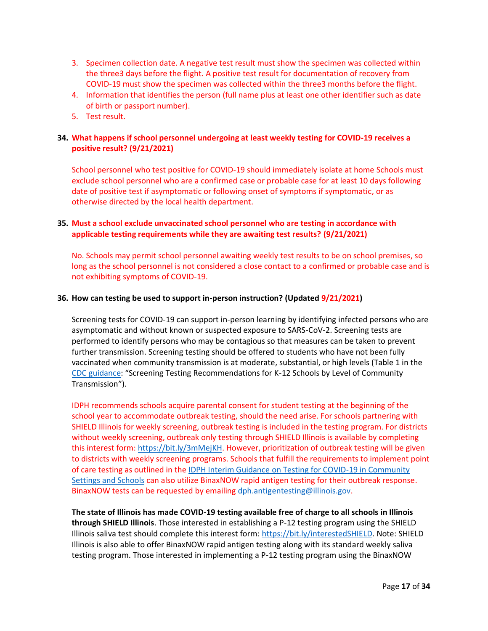- 3. Specimen collection date. A negative test result must show the specimen was collected within the three3 days before the flight. A positive test result for documentation of recovery from COVID-19 must show the specimen was collected within the three3 months before the flight.
- 4. Information that identifies the person (full name plus at least one other identifier such as date of birth or passport number).
- 5. Test result.

# <span id="page-16-0"></span>**34. What happens if school personnel undergoing at least weekly testing for COVID-19 receives a positive result? (9/21/2021)**

School personnel who test positive for COVID-19 should immediately isolate at home Schools must exclude school personnel who are a confirmed case or probable case for at least 10 days following date of positive test if asymptomatic or following onset of symptoms if symptomatic, or as otherwise directed by the local health department.

# <span id="page-16-1"></span>**35. Must a school exclude unvaccinated school personnel who are testing in accordance with applicable testing requirements while they are awaiting test results? (9/21/2021)**

No. Schools may permit school personnel awaiting weekly test results to be on school premises, so long as the school personnel is not considered a close contact to a confirmed or probable case and is not exhibiting symptoms of COVID-19.

# <span id="page-16-2"></span>**36. How can testing be used to support in-person instruction? (Updated 9/21/2021)**

Screening tests for COVID-19 can support in-person learning by identifying infected persons who are asymptomatic and without known or suspected exposure to SARS-CoV-2. Screening tests are performed to identify persons who may be contagious so that measures can be taken to prevent further transmission. Screening testing should be offered to students who have not been fully vaccinated when community transmission is at moderate, substantial, or high levels (Table 1 in the [CDC guidance](https://www.cdc.gov/coronavirus/2019-ncov/community/schools-childcare/k-12-guidance.html): "Screening Testing Recommendations for K-12 Schools by Level of Community Transmission").

IDPH recommends schools acquire parental consent for student testing at the beginning of the school year to accommodate outbreak testing, should the need arise. For schools partnering with SHIELD Illinois for weekly screening, outbreak testing is included in the testing program. For districts without weekly screening, outbreak only testing through SHIELD Illinois is available by completing this interest form: [https://bit.ly/3mMejKH.](https://bit.ly/3mMejKH) However, prioritization of outbreak testing will be given to districts with weekly screening programs. Schools that fulfill the requirements to implement point of care testing as outlined in the [IDPH Interim Guidance on Testing for COVID-19 in Community](https://www.dph.illinois.gov/covid19/community-guidance/rapid-point-care-testing-covid-19)  [Settings and Schools](https://www.dph.illinois.gov/covid19/community-guidance/rapid-point-care-testing-covid-19) can also utilize BinaxNOW rapid antigen testing for their outbreak response. BinaxNOW tests can be requested by emailin[g dph.antigentesting@illinois.gov.](mailto:dph.antigentesting@illinois.gov)

**The state of Illinois has made COVID-19 testing available free of charge to all schools in Illinois through SHIELD Illinois**. Those interested in establishing a P-12 testing program using the SHIELD Illinois saliva test should complete this interest form: [https://bit.ly/interestedSHIELD.](https://bit.ly/interestedSHIELD) Note: SHIELD Illinois is also able to offer BinaxNOW rapid antigen testing along with its standard weekly saliva testing program. Those interested in implementing a P-12 testing program using the BinaxNOW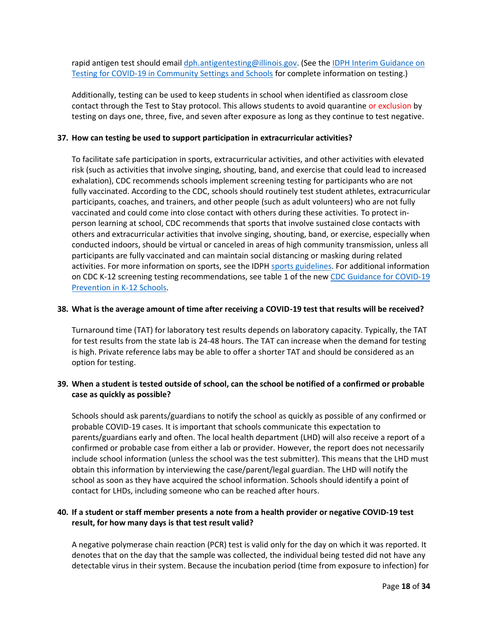rapid antigen test should email [dph.antigentesting@illinois.gov.](mailto:dph.antigentesting@illinois.gov) (See the IDPH Interim Guidance on [Testing for COVID-19 in Community Settings and Schools](https://www.dph.illinois.gov/covid19/community-guidance/rapid-point-care-testing-covid-19) for complete information on testing.)

Additionally, testing can be used to keep students in school when identified as classroom close contact through the Test to Stay protocol. This allows students to avoid quarantine or exclusion by testing on days one, three, five, and seven after exposure as long as they continue to test negative.

### <span id="page-17-0"></span>**37. How can testing be used to support participation in extracurricular activities?**

To facilitate safe participation in sports, extracurricular activities, and other activities with elevated risk (such as activities that involve singing, shouting, band, and exercise that could lead to increased exhalation), CDC recommends schools implement screening testing for participants who are not fully vaccinated. According to the CDC, schools should routinely test student athletes, extracurricular participants, coaches, and trainers, and other people (such as adult volunteers) who are not fully vaccinated and could come into close contact with others during these activities. To protect inperson learning at school, CDC recommends that sports that involve sustained close contacts with others and extracurricular activities that involve singing, shouting, band, or exercise, especially when conducted indoors, should be virtual or canceled in areas of high community transmission, unless all participants are fully vaccinated and can maintain social distancing or masking during related activities. For more information on sports, see the IDPH [sports guidelines.](https://www.dph.illinois.gov/covid19/community-guidance/sports-safety-guidance) For additional information on CDC K-12 screening testing recommendations, see table 1 of the new [CDC Guidance for COVID-19](https://www.cdc.gov/coronavirus/2019-ncov/community/schools-childcare/k-12-guidance.html)  [Prevention in K-12 Schools.](https://www.cdc.gov/coronavirus/2019-ncov/community/schools-childcare/k-12-guidance.html)

### <span id="page-17-1"></span>**38. What is the average amount of time after receiving a COVID-19 test that results will be received?**

Turnaround time (TAT) for laboratory test results depends on laboratory capacity. Typically, the TAT for test results from the state lab is 24-48 hours. The TAT can increase when the demand for testing is high. Private reference labs may be able to offer a shorter TAT and should be considered as an option for testing.

# <span id="page-17-2"></span>**39. When a student is tested outside of school, can the school be notified of a confirmed or probable case as quickly as possible?**

Schools should ask parents/guardians to notify the school as quickly as possible of any confirmed or probable COVID-19 cases. It is important that schools communicate this expectation to parents/guardians early and often. The local health department (LHD) will also receive a report of a confirmed or probable case from either a lab or provider. However, the report does not necessarily include school information (unless the school was the test submitter). This means that the LHD must obtain this information by interviewing the case/parent/legal guardian. The LHD will notify the school as soon as they have acquired the school information. Schools should identify a point of contact for LHDs, including someone who can be reached after hours.

# <span id="page-17-3"></span>**40. If a student or staff member presents a note from a health provider or negative COVID-19 test result, for how many days is that test result valid?**

A negative polymerase chain reaction (PCR) test is valid only for the day on which it was reported. It denotes that on the day that the sample was collected, the individual being tested did not have any detectable virus in their system. Because the incubation period (time from exposure to infection) for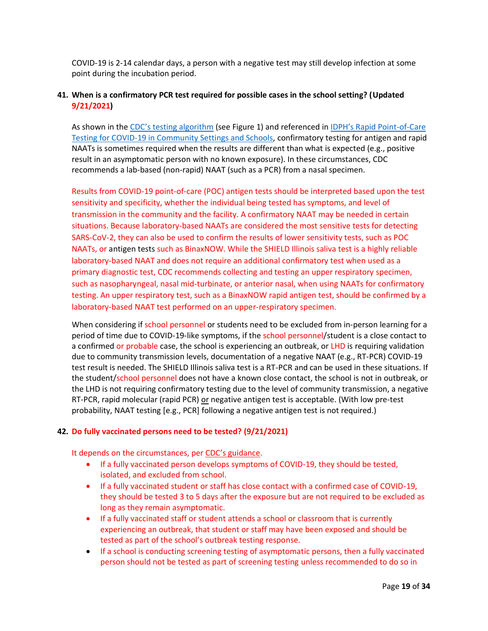COVID-19 is 2-14 calendar days, a person with a negative test may still develop infection at some point during the incubation period.

# <span id="page-18-0"></span>**41. When is a confirmatory PCR test required for possible cases in the school setting? (Updated 9/21/2021)**

As shown in the [CDC's testing algorithm](https://www.cdc.gov/coronavirus/2019-ncov/lab/resources/antigen-tests-guidelines.html) (see Figure 1) and referenced in [IDPH's Rapid Point](https://www.dph.illinois.gov/covid19/community-guidance/rapid-point-care-testing-covid-19)-of-Care [Testing for COVID-19 in Community Settings and Schools,](https://www.dph.illinois.gov/covid19/community-guidance/rapid-point-care-testing-covid-19) confirmatory testing for antigen and rapid NAATs is sometimes required when the results are different than what is expected (e.g., positive result in an asymptomatic person with no known exposure). In these circumstances, CDC recommends a lab-based (non-rapid) NAAT (such as a PCR) from a nasal specimen.

Results from COVID-19 point-of-care (POC) antigen tests should be interpreted based upon the test sensitivity and specificity, whether the individual being tested has symptoms, and level of transmission in the community and the facility. A confirmatory NAAT may be needed in certain situations. Because laboratory-based NAATs are considered the most sensitive tests for detecting SARS-CoV-2, they can also be used to confirm the results of lower sensitivity tests, such as POC NAATs, or antigen tests such as BinaxNOW. While the SHIELD Illinois saliva test is a highly reliable laboratory-based NAAT and does not require an additional confirmatory test when used as a primary diagnostic test, CDC recommends collecting and testing an upper respiratory specimen, such as nasopharyngeal, nasal mid-turbinate, or anterior nasal, when using NAATs for confirmatory testing. An upper respiratory test, such as a BinaxNOW rapid antigen test, should be confirmed by a laboratory-based NAAT test performed on an upper-respiratory specimen.

When considering if school personnel or students need to be excluded from in-person learning for a period of time due to COVID-19-like symptoms, if the school personnel/student is a close contact to a confirmed or probable case, the school is experiencing an outbreak, or LHD is requiring validation due to community transmission levels, documentation of a negative NAAT (e.g., RT-PCR) COVID-19 test result is needed. The SHIELD Illinois saliva test is a RT-PCR and can be used in these situations. If the student/school personnel does not have a known close contact, the school is not in outbreak, or the LHD is not requiring confirmatory testing due to the level of community transmission, a negative RT-PCR, rapid molecular (rapid PCR) or negative antigen test is acceptable. (With low pre-test probability, NAAT testing [e.g., PCR] following a negative antigen test is not required.)

# <span id="page-18-1"></span>**42. Do fully vaccinated persons need to be tested? (9/21/2021)**

It depends on the circumstances, per [CDC's gu](https://www.cdc.gov/coronavirus/2019-ncov/vaccines/fully-vaccinated-guidance.html)idance.

- If a fully vaccinated person develops symptoms of COVID-19, they should be tested, isolated, and excluded from school.
- If a fully vaccinated student or staff has close contact with a confirmed case of COVID-19, they should be tested 3 to 5 days after the exposure but are not required to be excluded as long as they remain asymptomatic.
- If a fully vaccinated staff or student attends a school or classroom that is currently experiencing an outbreak, that student or staff may have been exposed and should be tested as part of the school's outbreak testing response.
- If a school is conducting screening testing of asymptomatic persons, then a fully vaccinated person should not be tested as part of screening testing unless recommended to do so in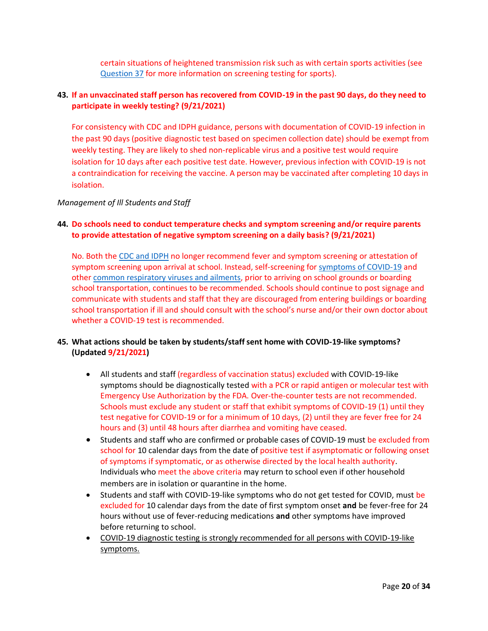certain situations of heightened transmission risk such as with certain sports activities (see [Question 37](#page-17-0) for more information on screening testing for sports).

# <span id="page-19-0"></span>**43. If an unvaccinated staff person has recovered from COVID-19 in the past 90 days, do they need to participate in weekly testing? (9/21/2021)**

For consistency with CDC and IDPH guidance, persons with documentation of COVID-19 infection in the past 90 days (positive diagnostic test based on specimen collection date) should be exempt from weekly testing. They are likely to shed non-replicable virus and a positive test would require isolation for 10 days after each positive test date. However, previous infection with COVID-19 is not a contraindication for receiving the vaccine. A person may be vaccinated after completing 10 days in isolation.

# <span id="page-19-1"></span>*Management of Ill Students and Staff*

# <span id="page-19-2"></span>**44. Do schools need to conduct temperature checks and symptom screening and/or require parents to provide attestation of negative symptom screening on a daily basis? (9/21/2021)**

No. Both the [CDC and IDPH](https://www.cdc.gov/coronavirus/2019-ncov/community/schools-childcare/operation-strategy.html?CDC_AA_refVal=https%3A%2F%2Fwww.cdc.gov%2Fcoronavirus%2F2019-ncov%2Fcommunity%2Fschools-childcare%2Fk-12-testing.html) no longer recommend fever and symptom screening or attestation of symptom screening upon arrival at school. Instead, self-screening for [symptoms of COVID-19](https://www.cdc.gov/coronavirus/2019-ncov/symptoms-testing/symptoms.html) and other [common respiratory viruses and ailments,](https://www.cdc.gov/coronavirus/2019-ncov/downloads/community/schools-childcare/COVID19-symptoms-tablegraphic-v1.pdf) prior to arriving on school grounds or boarding school transportation, continues to be recommended. Schools should continue to post signage and communicate with students and staff that they are discouraged from entering buildings or boarding school transportation if ill and should consult with the school's nurse and/or their own doctor about whether a COVID-19 test is recommended.

# <span id="page-19-3"></span>**45. What actions should be taken by students/staff sent home with COVID-19-like symptoms? (Updated 9/21/2021)**

- All students and staff (regardless of vaccination status) excluded with COVID-19-like symptoms should be diagnostically tested with a PCR or rapid antigen or molecular test with Emergency Use Authorization by the FDA. Over-the-counter tests are not recommended. Schools must exclude any student or staff that exhibit symptoms of COVID-19 (1) until they test negative for COVID-19 or for a minimum of 10 days, (2) until they are fever free for 24 hours and (3) until 48 hours after diarrhea and vomiting have ceased.
- Students and staff who are confirmed or probable cases of COVID-19 must be excluded from school for 10 calendar days from the date of positive test if asymptomatic or following onset of symptoms if symptomatic, or as otherwise directed by the local health authority. Individuals who meet the above criteria may return to school even if other household members are in isolation or quarantine in the home.
- Students and staff with COVID-19-like symptoms who do not get tested for COVID, must be excluded for 10 calendar days from the date of first symptom onset **and** be fever-free for 24 hours without use of fever-reducing medications **and** other symptoms have improved before returning to school.
- COVID-19 diagnostic testing is strongly recommended for all persons with COVID-19-like symptoms.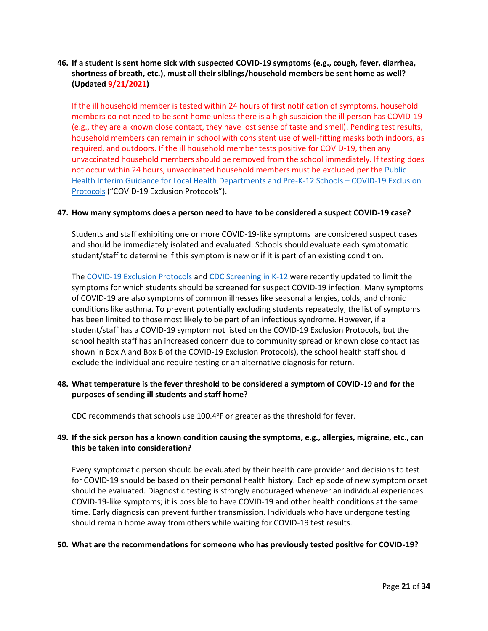# <span id="page-20-0"></span>**46. If a student is sent home sick with suspected COVID-19 symptoms (e.g., cough, fever, diarrhea, shortness of breath, etc.), must all their siblings/household members be sent home as well? (Updated 9/21/2021)**

If the ill household member is tested within 24 hours of first notification of symptoms, household members do not need to be sent home unless there is a high suspicion the ill person has COVID-19 (e.g., they are a known close contact, they have lost sense of taste and smell). Pending test results, household members can remain in school with consistent use of well-fitting masks both indoors, as required, and outdoors. If the ill household member tests positive for COVID-19, then any unvaccinated household members should be removed from the school immediately. If testing does not occur within 24 hours, unvaccinated household members must be excluded per the [Public](https://www.isbe.net/Documents/P-12-COVID-19-Exclusion-Protocols.pdf)  [Health Interim Guidance for Local Health Departments and Pre-K-12 Schools](https://www.isbe.net/Documents/P-12-COVID-19-Exclusion-Protocols.pdf) – COVID-19 Exclusion [Protocols](https://www.isbe.net/Documents/P-12-COVID-19-Exclusion-Protocols.pdf) ("COVID-19 Exclusion Protocols").

### <span id="page-20-1"></span>**47. How many symptoms does a person need to have to be considered a suspect COVID-19 case?**

Students and staff exhibiting one or more [COVID-19-like symptoms](https://www.cdc.gov/coronavirus/2019-ncov/hcp/pediatric-hcp.html) are considered suspect cases and should be immediately isolated and evaluated. Schools should evaluate each symptomatic student/staff to determine if this symptom is new or if it is part of an existing condition.

The [COVID-19 Exclusion Protocols](https://www.isbe.net/Documents/P-12-COVID-19-Exclusion-Protocols.pdf) and [CDC Screening in K-12](https://www.cdc.gov/coronavirus/2019-ncov/community/schools-childcare/symptom-screening.html) were recently updated to limit the symptoms for which students should be screened for suspect COVID-19 infection. Many symptoms of COVID-19 are also symptoms of common illnesses like seasonal allergies, colds, and chronic conditions like asthma. To prevent potentially excluding students repeatedly, the list of symptoms has been limited to those most likely to be part of an infectious syndrome. However, if a student/staff has a COVID-19 symptom not listed on the COVID-19 Exclusion Protocols, but the school health staff has an increased concern due to community spread or known close contact (as shown in Box A and Box B of the COVID-19 Exclusion Protocols), the school health staff should exclude the individual and require testing or an alternative diagnosis for return.

# <span id="page-20-2"></span>**48. What temperature is the fever threshold to be considered a symptom of COVID-19 and for the purposes of sending ill students and staff home?**

CDC recommends that schools use 100.4°F or greater as the threshold for fever.

# <span id="page-20-3"></span>**49. If the sick person has a known condition causing the symptoms, e.g., allergies, migraine, etc., can this be taken into consideration?**

Every symptomatic person should be evaluated by their health care provider and decisions to test for COVID-19 should be based on their personal health history. Each episode of new symptom onset should be evaluated. Diagnostic testing is strongly encouraged whenever an individual experiences COVID-19-like symptoms; it is possible to have COVID-19 and other health conditions at the same time. Early diagnosis can prevent further transmission. Individuals who have undergone testing should remain home away from others while waiting for COVID-19 test results.

#### <span id="page-20-4"></span>**50. What are the recommendations for someone who has previously tested positive for COVID-19?**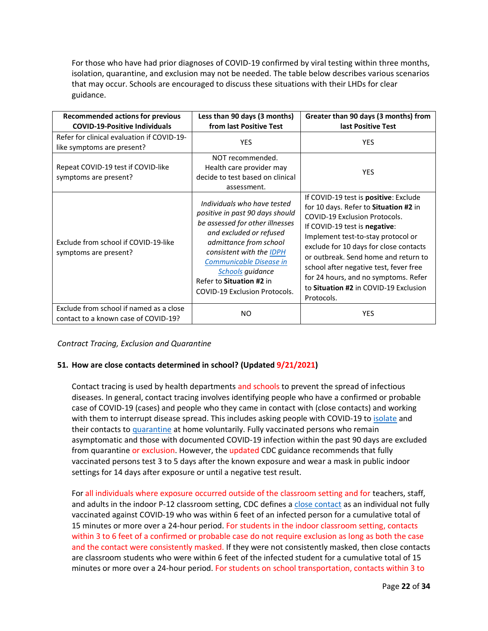For those who have had prior diagnoses of COVID-19 confirmed by viral testing within three months, isolation, quarantine, and exclusion may not be needed. The table below describes various scenarios that may occur. Schools are encouraged to discuss these situations with their LHDs for clear guidance.

| <b>Recommended actions for previous</b><br><b>COVID-19-Positive Individuals</b> | Less than 90 days (3 months)<br>from last Positive Test                                                                                                                                                                                                                                                      | Greater than 90 days (3 months) from<br>last Positive Test                                                                                                                                                                                                                                                                                                                                                                       |
|---------------------------------------------------------------------------------|--------------------------------------------------------------------------------------------------------------------------------------------------------------------------------------------------------------------------------------------------------------------------------------------------------------|----------------------------------------------------------------------------------------------------------------------------------------------------------------------------------------------------------------------------------------------------------------------------------------------------------------------------------------------------------------------------------------------------------------------------------|
| Refer for clinical evaluation if COVID-19-<br>like symptoms are present?        | <b>YES</b>                                                                                                                                                                                                                                                                                                   | <b>YES</b>                                                                                                                                                                                                                                                                                                                                                                                                                       |
| Repeat COVID-19 test if COVID-like<br>symptoms are present?                     | NOT recommended.<br>Health care provider may<br>decide to test based on clinical<br>assessment.                                                                                                                                                                                                              | <b>YES</b>                                                                                                                                                                                                                                                                                                                                                                                                                       |
| Exclude from school if COVID-19-like<br>symptoms are present?                   | Individuals who have tested<br>positive in past 90 days should<br>be assessed for other illnesses<br>and excluded or refused<br>admittance from school<br>consistent with the IDPH<br>Communicable Disease in<br><b>Schools</b> guidance<br>Refer to Situation #2 in<br><b>COVID-19 Exclusion Protocols.</b> | If COVID-19 test is <b>positive</b> : Exclude<br>for 10 days. Refer to Situation #2 in<br><b>COVID-19 Exclusion Protocols.</b><br>If COVID-19 test is negative:<br>Implement test-to-stay protocol or<br>exclude for 10 days for close contacts<br>or outbreak. Send home and return to<br>school after negative test, fever free<br>for 24 hours, and no symptoms. Refer<br>to Situation #2 in COVID-19 Exclusion<br>Protocols. |
| Exclude from school if named as a close<br>contact to a known case of COVID-19? | NO.                                                                                                                                                                                                                                                                                                          | <b>YES</b>                                                                                                                                                                                                                                                                                                                                                                                                                       |

<span id="page-21-0"></span>*Contract Tracing, Exclusion and Quarantine*

# <span id="page-21-1"></span>**51. How are close contacts determined in school? (Updated 9/21/2021)**

Contact tracing is used by health departments and schools to prevent the spread of infectious diseases. In general, contact tracing involves identifying people who have a confirmed or probable case of COVID-19 (cases) and people who they came in contact with (close contacts) and working with them to interrupt disease spread. This includes asking people with COVID-19 to [isolate](https://www.cdc.gov/coronavirus/2019-ncov/if-you-are-sick/quarantine.html) and their contacts to [quarantine](https://www.cdc.gov/coronavirus/2019-ncov/if-you-are-sick/quarantine.html) at home voluntarily. Fully vaccinated persons who remain asymptomatic and those with documented COVID-19 infection within the past 90 days are excluded from quarantine or exclusion. However, the updated CDC guidance recommends that fully vaccinated persons test 3 to 5 days after the known exposure and wear a mask in public indoor settings for 14 days after exposure or until a negative test result.

For all individuals where exposure occurred outside of the classroom setting and for teachers, staff, and adults in the indoor P-12 classroom setting, CDC defines [a close contact](https://www.cdc.gov/coronavirus/2019-ncov/php/contact-tracing/contact-tracing-plan/appendix.html#contact) as an individual not fully vaccinated against COVID-19 who was within 6 feet of an infected person for a cumulative total of 15 minutes or more over a 24-hour period. For students in the indoor classroom setting, contacts within 3 to 6 feet of a confirmed or probable case do not require exclusion as long as both the case and the contact were consistently masked. If they were not consistently masked, then close contacts are classroom students who were within 6 feet of the infected student for a cumulative total of 15 minutes or more over a 24-hour period. For students on school transportation, contacts within 3 to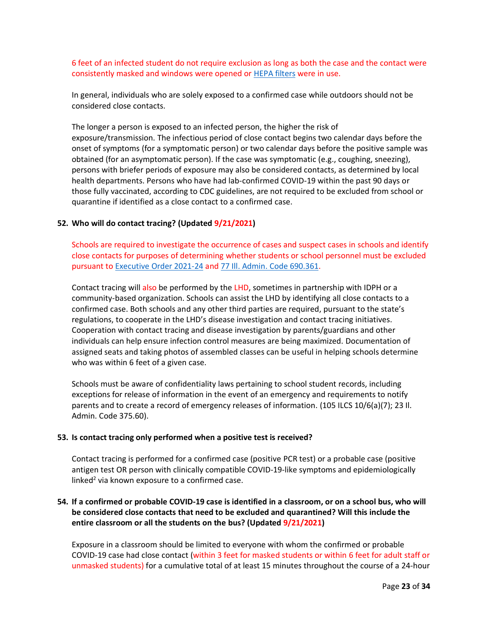6 feet of an infected student do not require exclusion as long as both the case and the contact were consistently masked and windows were opened or [HEPA filters](https://www.cdc.gov/coronavirus/2019-ncov/community/schools-childcare/k-12-staff.html#engineering-controls) were in use.

In general, individuals who are solely exposed to a confirmed case while outdoors should not be considered close contacts.

The longer a person is exposed to an infected person, the higher the risk of exposure/transmission. The infectious period of close contact begins two calendar days before the onset of symptoms (for a symptomatic person) or two calendar days before the positive sample was obtained (for an asymptomatic person). If the case was symptomatic (e.g., coughing, sneezing), persons with briefer periods of exposure may also be considered contacts, as determined by local health departments. Persons who have had lab-confirmed COVID-19 within the past 90 days or those fully vaccinated, according to CDC guidelines, are not required to be excluded from school or quarantine if identified as a close contact to a confirmed case.

### <span id="page-22-0"></span>**52. Who will do contact tracing? (Updated 9/21/2021)**

Schools are required to investigate the occurrence of cases and suspect cases in schools and identify close contacts for purposes of determining whether students or school personnel must be excluded pursuant t[o Executive Order 2021-24](https://www.illinois.gov/government/executive-orders/executive-order.executive-order-number-24.2021.html) and [77 Ill. Admin. Code 690.361.](https://www.ilga.gov/commission/jcar/admincode/077/077006900D03610R.html)

Contact tracing will also be performed by the LHD, sometimes in partnership with IDPH or a community-based organization. Schools can assist the LHD by identifying all close contacts to a confirmed case. Both schools and any other third parties are required, pursuant to the state's regulations, to cooperate in the LHD's disease investigation and contact tracing initiatives. Cooperation with contact tracing and disease investigation by parents/guardians and other individuals can help ensure infection control measures are being maximized. Documentation of assigned seats and taking photos of assembled classes can be useful in helping schools determine who was within 6 feet of a given case.

Schools must be aware of confidentiality laws pertaining to school student records, including exceptions for release of information in the event of an emergency and requirements to notify parents and to create a record of emergency releases of information. (105 ILCS 10/6(a)(7); 23 Il. Admin. Code 375.60).

#### <span id="page-22-1"></span>**53. Is contact tracing only performed when a positive test is received?**

Contact tracing is performed for a confirmed case (positive PCR test) or a probable case (positive antigen test OR person with clinically compatible COVID-19-like symptoms and epidemiologically linked<sup>2</sup> via known exposure to a confirmed case.

# <span id="page-22-2"></span>**54. If a confirmed or probable COVID-19 case is identified in a classroom, or on a school bus, who will be considered close contacts that need to be excluded and quarantined? Will this include the entire classroom or all the students on the bus? (Updated 9/21/2021)**

Exposure in a classroom should be limited to everyone with whom the confirmed or probable COVID-19 case had close contact (within 3 feet for masked students or within 6 feet for adult staff or unmasked students) for a cumulative total of at least 15 minutes throughout the course of a 24-hour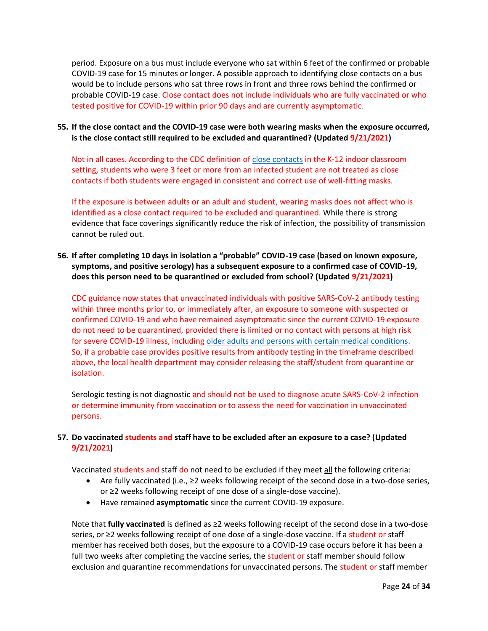period. Exposure on a bus must include everyone who sat within 6 feet of the confirmed or probable COVID-19 case for 15 minutes or longer. A possible approach to identifying close contacts on a bus would be to include persons who sat three rows in front and three rows behind the confirmed or probable COVID-19 case. Close contact does not include individuals who are fully vaccinated or who tested positive for COVID-19 within prior 90 days and are currently asymptomatic.

# <span id="page-23-0"></span>**55. If the close contact and the COVID-19 case were both wearing masks when the exposure occurred, is the close contact still required to be excluded and quarantined? (Updated 9/21/2021)**

Not in all cases. According to the CDC definition o[f close contacts](https://www.cdc.gov/coronavirus/2019-ncov/php/contact-tracing/contact-tracing-plan/appendix.html#contact) in the K-12 indoor classroom setting, students who were 3 feet or more from an infected student are not treated as close contacts if both students were engaged in consistent and correct use of well-fitting masks.

If the exposure is between adults or an adult and student, wearing masks does not affect who is identified as a close contact required to be excluded and quarantined. While there is strong evidence that face coverings significantly reduce the risk of infection, the possibility of transmission cannot be ruled out.

# <span id="page-23-1"></span>**56. If after completing 10 days in isolation a "probable" COVID-19 case (based on known exposure, symptoms, and positive serology) has a subsequent exposure to a confirmed case of COVID-19, does this person need to be quarantined or excluded from school? (Updated 9/21/2021)**

CDC guidance now states that unvaccinated individuals with positive SARS-CoV-2 antibody testing within three months prior to, or immediately after, an exposure to someone with suspected or confirmed COVID-19 and who have remained asymptomatic since the current COVID-19 exposure do not need to be quarantined, provided there is limited or no contact with persons at high risk for severe COVID-19 illness, including [older adults and persons with certain medical conditions.](https://www.cdc.gov/coronavirus/2019-ncov/need-extra-precautions/index.html) So, if a probable case provides positive results from antibody testing in the timeframe described above, the local health department may consider releasing the staff/student from quarantine or isolation.

Serologic testing is not diagnostic and should not be used to diagnose acute SARS-CoV-2 infection or determine immunity from vaccination or to assess the need for vaccination in unvaccinated persons.

# <span id="page-23-2"></span>**57. Do vaccinated students and staff have to be excluded after an exposure to a case? (Updated 9/21/2021)**

Vaccinated students and staff do not need to be excluded if they meet all the following criteria:

- Are fully vaccinated (i.e., ≥2 weeks following receipt of the second dose in a two-dose series, or ≥2 weeks following receipt of one dose of a single-dose vaccine).
- Have remained **asymptomatic** since the current COVID-19 exposure.

Note that **fully vaccinated** is defined as ≥2 weeks following receipt of the second dose in a two-dose series, or ≥2 weeks following receipt of one dose of a single-dose vaccine. If a student or staff member has received both doses, but the exposure to a COVID-19 case occurs before it has been a full two weeks after completing the vaccine series, the student or staff member should follow exclusion and quarantine recommendations for unvaccinated persons. The student or staff member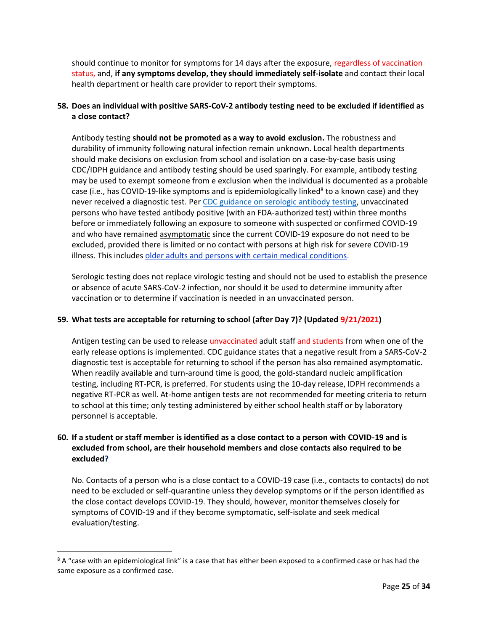should continue to monitor for symptoms for 14 days after the exposure, regardless of vaccination status, and, **if any symptoms develop, they should immediately self-isolate** and contact their local health department or health care provider to report their symptoms.

# <span id="page-24-0"></span>**58. Does an individual with positive SARS-CoV-2 antibody testing need to be excluded if identified as a close contact?**

Antibody testing **should not be promoted as a way to avoid exclusion.** The robustness and durability of immunity following natural infection remain unknown. Local health departments should make decisions on exclusion from school and isolation on a case-by-case basis using CDC/IDPH guidance and antibody testing should be used sparingly. For example, antibody testing may be used to exempt someone from e exclusion when the individual is documented as a probable case (i.e., has COVID-19-like symptoms and is epidemiologically linked<sup>8</sup> to a known case) and they never received a diagnostic test. Pe[r CDC guidance on serologic antibody testing,](https://www.cdc.gov/coronavirus/2019-ncov/lab/resources/antibody-tests-guidelines.html) unvaccinated persons who have tested antibody positive (with an FDA-authorized test) within three months before or immediately following an exposure to someone with suspected or confirmed COVID-19 and who have remained asymptomatic since the current COVID-19 exposure do not need to be excluded, provided there is limited or no contact with persons at high risk for severe COVID-19 illness. This includes [older adults and persons with certain medical conditions.](https://www.cdc.gov/coronavirus/2019-ncov/need-extra-precautions/index.html)

Serologic testing does not replace virologic testing and should not be used to establish the presence or absence of acute SARS-CoV-2 infection, nor should it be used to determine immunity after vaccination or to determine if vaccination is needed in an unvaccinated person.

# <span id="page-24-1"></span>**59. What tests are acceptable for returning to school (after Day 7)? (Updated 9/21/2021)**

Antigen testing can be used to release unvaccinated adult staff and students from when one of the early release options is implemented. CDC guidance states that a negative result from a SARS-CoV-2 diagnostic test is acceptable for returning to school if the person has also remained asymptomatic. When readily available and turn-around time is good, the gold-standard nucleic amplification testing, including RT-PCR, is preferred. For students using the 10-day release, IDPH recommends a negative RT-PCR as well. At-home antigen tests are not recommended for meeting criteria to return to school at this time; only testing administered by either school health staff or by laboratory personnel is acceptable.

# <span id="page-24-2"></span>**60. If a student or staff member is identified as a close contact to a person with COVID-19 and is excluded from school, are their household members and close contacts also required to be excluded?**

No. Contacts of a person who is a close contact to a COVID-19 case (i.e., contacts to contacts) do not need to be excluded or self-quarantine unless they develop symptoms or if the person identified as the close contact develops COVID-19. They should, however, monitor themselves closely for symptoms of COVID-19 and if they become symptomatic, self-isolate and seek medical evaluation/testing.

<sup>&</sup>lt;sup>8</sup> A "case with an epidemiological link" is a case that has either been exposed to a confirmed case or has had the same exposure as a confirmed case.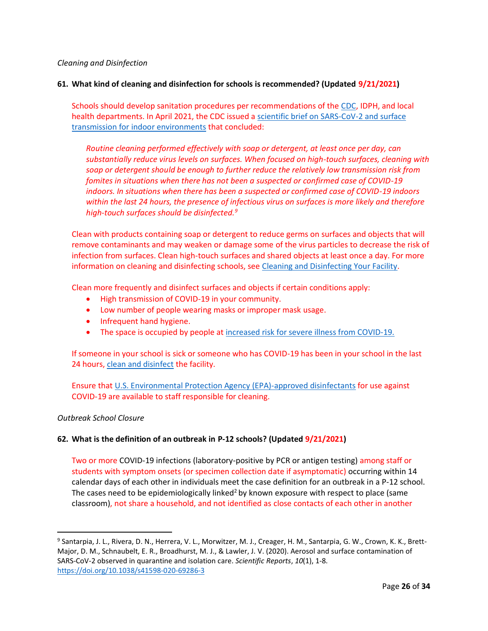### <span id="page-25-0"></span>*Cleaning and Disinfection*

### <span id="page-25-1"></span>**61. What kind of cleaning and disinfection for schools is recommended? (Updated 9/21/2021)**

Schools should develop sanitation procedures per recommendations of the [CDC,](https://www.cdc.gov/coronavirus/2019-ncov/community/schools-childcare/clean-disinfect-hygiene.html) IDPH, and local health departments. In April 2021, the CDC issued a [scientific brief on SARS-CoV-2 and surface](https://www.cdc.gov/coronavirus/2019-ncov/more/science-and-research/surface-transmission.html)  [transmission for indoor environments](https://www.cdc.gov/coronavirus/2019-ncov/more/science-and-research/surface-transmission.html) that concluded:

*Routine cleaning performed effectively with soap or detergent, at least once per day, can substantially reduce virus levels on surfaces. When focused on high-touch surfaces, cleaning with soap or detergent should be enough to further reduce the relatively low transmission risk from fomites in situations when there has not been a suspected or confirmed case of COVID-19 indoors. In situations when there has been a suspected or confirmed case of COVID-19 indoors within the last 24 hours, the presence of infectious virus on surfaces is more likely and therefore high-touch surfaces should be disinfected.<sup>9</sup>*

Clean with products containing soap or detergent to reduce germs on surfaces and objects that will remove contaminants and may weaken or damage some of the virus particles to decrease the risk of infection from surfaces. Clean high-touch surfaces and shared objects at least once a day. For more information on cleaning and disinfecting schools, see [Cleaning and Disinfecting Your Facility.](https://www.cdc.gov/coronavirus/2019-ncov/community/disinfecting-building-facility.html)

Clean more frequently and disinfect surfaces and objects if certain conditions apply:

- High transmission of COVID-19 in your community.
- Low number of people wearing masks or improper mask usage.
- Infrequent hand hygiene.
- The space is occupied by people at [increased risk for severe illness from COVID-19.](https://www.cdc.gov/coronavirus/2019-ncov/need-extra-precautions/people-with-medical-conditions.html)

If someone in your school is sick or someone who has COVID-19 has been in your school in the last 24 hours, [clean and disinfect](https://www.cdc.gov/coronavirus/2019-ncov/community/disinfecting-building-facility.html) the facility.

Ensure that [U.S. Environmental Protection Agency \(EPA\)-approved disinfectants](https://www.epa.gov/pesticide-registration/list-n-disinfectants-use-against-sars-cov-2) for use against COVID-19 are available to staff responsible for cleaning.

#### <span id="page-25-2"></span>*Outbreak School Closure*

# <span id="page-25-3"></span>**62. What is the definition of an outbreak in P-12 schools? (Updated 9/21/2021)**

Two or more COVID-19 infections (laboratory-positive by PCR or antigen testing) among staff or students with symptom onsets (or specimen collection date if asymptomatic) occurring within 14 calendar days of each other in individuals meet the case definition for an outbreak in a P-12 school. The cases need to be epidemiologically linked<sup>2</sup> by known exposure with respect to place (same classroom), not share a household, and not identified as close contacts of each other in another

<sup>9</sup> Santarpia, J. L., Rivera, D. N., Herrera, V. L., Morwitzer, M. J., Creager, H. M., Santarpia, G. W., Crown, K. K., Brett-Major, D. M., Schnaubelt, E. R., Broadhurst, M. J., & Lawler, J. V. (2020). Aerosol and surface contamination of SARS-CoV-2 observed in quarantine and isolation care. *Scientific Reports*, *10*(1), 1-8. <https://doi.org/10.1038/s41598-020-69286-3>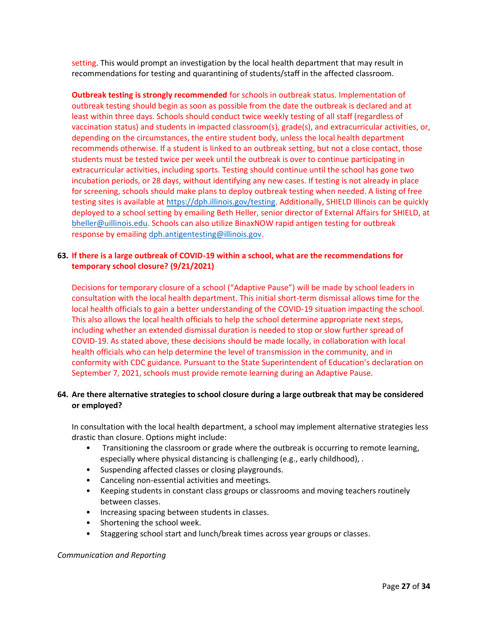setting. This would prompt an investigation by the local health department that may result in recommendations for testing and quarantining of students/staff in the affected classroom.

**Outbreak testing is strongly recommended** for schools in outbreak status. Implementation of outbreak testing should begin as soon as possible from the date the outbreak is declared and at least within three days. Schools should conduct twice weekly testing of all staff (regardless of vaccination status) and students in impacted classroom(s), grade(s), and extracurricular activities, or, depending on the circumstances, the entire student body, unless the local health department recommends otherwise. If a student is linked to an outbreak setting, but not a close contact, those students must be tested twice per week until the outbreak is over to continue participating in extracurricular activities, including sports. Testing should continue until the school has gone two incubation periods, or 28 days, without identifying any new cases. If testing is not already in place for screening, schools should make plans to deploy outbreak testing when needed. A listing of free testing sites is available a[t https://dph.illinois.gov/testing.](https://dph.illinois.gov/testing) Additionally, SHIELD Illinois can be quickly deployed to a school setting by emailing Beth Heller, senior director of External Affairs for SHIELD, at [bheller@uillinois.edu.](mailto:bheller@uillinois.edu) Schools can also utilize BinaxNOW rapid antigen testing for outbreak response by emailing [dph.antigentesting@illinois.gov.](mailto:dph.antigentesting@illinois.gov)

# <span id="page-26-0"></span>**63. If there is a large outbreak of COVID-19 within a school, what are the recommendations for temporary school closure? (9/21/2021)**

Decisions for temporary closure of a school ("Adaptive Pause") will be made by school leaders in consultation with the local health department. This initial short-term dismissal allows time for the local health officials to gain a better understanding of the COVID-19 situation impacting the school. This also allows the local health officials to help the school determine appropriate next steps, including whether an extended dismissal duration is needed to stop or slow further spread of COVID-19. As stated above, these decisions should be made locally, in collaboration with local health officials who can help determine the level of transmission in the community, and in conformity with CDC guidance. Pursuant to the State Superintendent of Education's declaration on September 7, 2021, schools must provide remote learning during an Adaptive Pause.

# <span id="page-26-1"></span>**64. Are there alternative strategies to school closure during a large outbreak that may be considered or employed?**

In consultation with the local health department, a school may implement alternative strategies less drastic than closure. Options might include:

- Transitioning the classroom or grade where the outbreak is occurring to remote learning, especially where physical distancing is challenging (e.g., early childhood), .
- Suspending affected classes or closing playgrounds.
- Canceling non-essential activities and meetings.
- Keeping students in constant class groups or classrooms and moving teachers routinely between classes.
- Increasing spacing between students in classes.
- Shortening the school week.
- Staggering school start and lunch/break times across year groups or classes.

<span id="page-26-2"></span>*Communication and Reporting*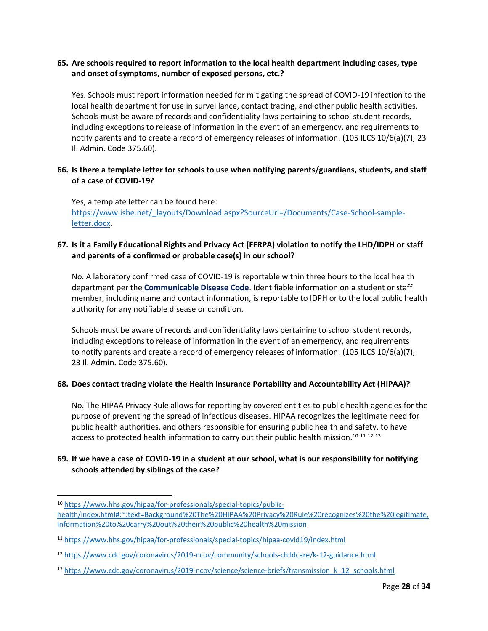# <span id="page-27-0"></span>**65. Are schools required to report information to the local health department including cases, type and onset of symptoms, number of exposed persons, etc.?**

Yes. Schools must report information needed for mitigating the spread of COVID-19 infection to the local health department for use in surveillance, contact tracing, and other public health activities. Schools must be aware of records and confidentiality laws pertaining to school student records, including exceptions to release of information in the event of an emergency, and requirements to notify parents and to create a record of emergency releases of information. (105 ILCS 10/6(a)(7); 23 Il. Admin. Code 375.60).

# <span id="page-27-1"></span>**66. Is there a template letter for schools to use when notifying parents/guardians, students, and staff of a case of COVID-19?**

Yes, a template letter can be found here: [https://www.isbe.net/\\_layouts/Download.aspx?SourceUrl=/Documents/Case-School-sample](https://www.isbe.net/_layouts/Download.aspx?SourceUrl=/Documents/Case-School-sample-letter.docx)[letter.docx.](https://www.isbe.net/_layouts/Download.aspx?SourceUrl=/Documents/Case-School-sample-letter.docx)

# <span id="page-27-2"></span>**67. Is it a Family Educational Rights and Privacy Act (FERPA) violation to notify the LHD/IDPH or staff and parents of a confirmed or probable case(s) in our school?**

No. A laboratory confirmed case of COVID-19 is reportable within three hours to the local health department per the **[Communicable Disease Code](ftp://www.ilga.gov/JCAR/AdminCode/077/07700690sections.html)**. Identifiable information on a student or staff member, including name and contact information, is reportable to IDPH or to the local public health authority for any notifiable disease or condition.

Schools must be aware of records and confidentiality laws pertaining to school student records, including exceptions to release of information in the event of an emergency, and requirements to notify parents and create a record of emergency releases of information. (105 ILCS 10/6(a)(7); 23 Il. Admin. Code 375.60).

# <span id="page-27-3"></span>**68. Does contact tracing violate the Health Insurance Portability and Accountability Act (HIPAA)?**

No. The HIPAA Privacy Rule allows for reporting by covered entities to public health agencies for the purpose of preventing the spread of infectious diseases. HIPAA recognizes the legitimate need for public health authorities, and others responsible for ensuring public health and safety, to have access to protected health information to carry out their public health mission.<sup>10 11 12 13</sup>

# <span id="page-27-4"></span>**69. If we have a case of COVID-19 in a student at our school, what is our responsibility for notifying schools attended by siblings of the case?**

<sup>10</sup> [https://www.hhs.gov/hipaa/for-professionals/special-topics/public-](https://www.hhs.gov/hipaa/for-professionals/special-topics/public-health/index.html#:~:text=Background%20The%20HIPAA%20Privacy%20Rule%20recognizes%20the%20legitimate,information%20to%20carry%20out%20their%20public%20health%20mission)

[health/index.html#:~:text=Background%20The%20HIPAA%20Privacy%20Rule%20recognizes%20the%20legitimate,](https://www.hhs.gov/hipaa/for-professionals/special-topics/public-health/index.html#:~:text=Background%20The%20HIPAA%20Privacy%20Rule%20recognizes%20the%20legitimate,information%20to%20carry%20out%20their%20public%20health%20mission) [information%20to%20carry%20out%20their%20public%20health%20mission](https://www.hhs.gov/hipaa/for-professionals/special-topics/public-health/index.html#:~:text=Background%20The%20HIPAA%20Privacy%20Rule%20recognizes%20the%20legitimate,information%20to%20carry%20out%20their%20public%20health%20mission)

<sup>11</sup> <https://www.hhs.gov/hipaa/for-professionals/special-topics/hipaa-covid19/index.html>

<sup>12</sup> <https://www.cdc.gov/coronavirus/2019-ncov/community/schools-childcare/k-12-guidance.html>

<sup>13</sup> [https://www.cdc.gov/coronavirus/2019-ncov/science/science-briefs/transmission\\_k\\_12\\_schools.html](https://www.cdc.gov/coronavirus/2019-ncov/science/science-briefs/transmission_k_12_schools.html)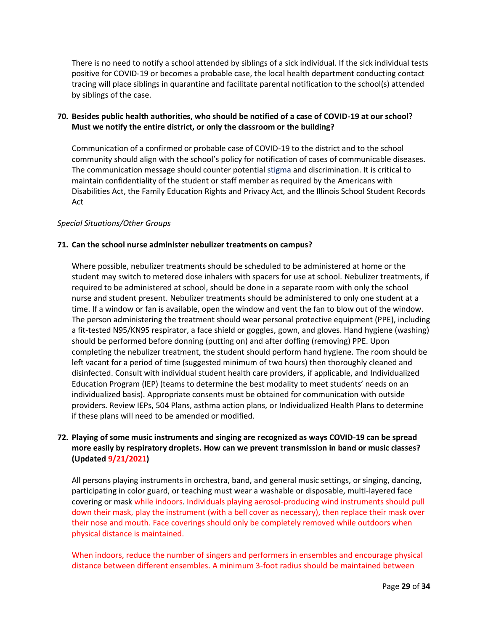There is no need to notify a school attended by siblings of a sick individual. If the sick individual tests positive for COVID-19 or becomes a probable case, the local health department conducting contact tracing will place siblings in quarantine and facilitate parental notification to the school(s) attended by siblings of the case.

# <span id="page-28-0"></span>**70. Besides public health authorities, who should be notified of a case of COVID-19 at our school? Must we notify the entire district, or only the classroom or the building?**

Communication of a confirmed or probable case of COVID-19 to the district and to the school community should align with the school's policy for notification of cases of communicable diseases. The communication message should counter potential [stigma](https://www.cdc.gov/coronavirus/2019-ncov/daily-life-coping/reducing-stigma.html) and discrimination. It is critical to maintain confidentiality of the student or staff member as required by the Americans with Disabilities Act, the Family Education Rights and Privacy Act, and the Illinois School Student Records Act

# <span id="page-28-1"></span>*Special Situations/Other Groups*

### <span id="page-28-2"></span>**71. Can the school nurse administer nebulizer treatments on campus?**

Where possible, nebulizer treatments should be scheduled to be administered at home or the student may switch to metered dose inhalers with spacers for use at school. Nebulizer treatments, if required to be administered at school, should be done in a separate room with only the school nurse and student present. Nebulizer treatments should be administered to only one student at a time. If a window or fan is available, open the window and vent the fan to blow out of the window. The person administering the treatment should wear personal protective equipment (PPE), including a fit-tested N95/KN95 respirator, a face shield or goggles, gown, and gloves. Hand hygiene (washing) should be performed before donning (putting on) and after doffing (removing) PPE. Upon completing the nebulizer treatment, the student should perform hand hygiene. The room should be left vacant for a period of time (suggested minimum of two hours) then thoroughly cleaned and disinfected. Consult with individual student health care providers, if applicable, and Individualized Education Program (IEP) (teams to determine the best modality to meet students' needs on an individualized basis). Appropriate consents must be obtained for communication with outside providers. Review IEPs, 504 Plans, asthma action plans, or Individualized Health Plans to determine if these plans will need to be amended or modified.

# <span id="page-28-3"></span>**72. Playing of some music instruments and singing are recognized as ways COVID-19 can be spread more easily by respiratory droplets. How can we prevent transmission in band or music classes? (Updated 9/21/2021)**

All persons playing instruments in orchestra, band, and general music settings, or singing, dancing, participating in color guard, or teaching must wear a washable or disposable, multi-layered face covering or mask while indoors. Individuals playing aerosol-producing wind instruments should pull down their mask, play the instrument (with a bell cover as necessary), then replace their mask over their nose and mouth. Face coverings should only be completely removed while outdoors when physical distance is maintained.

When indoors, reduce the number of singers and performers in ensembles and encourage physical distance between different ensembles. A minimum 3-foot radius should be maintained between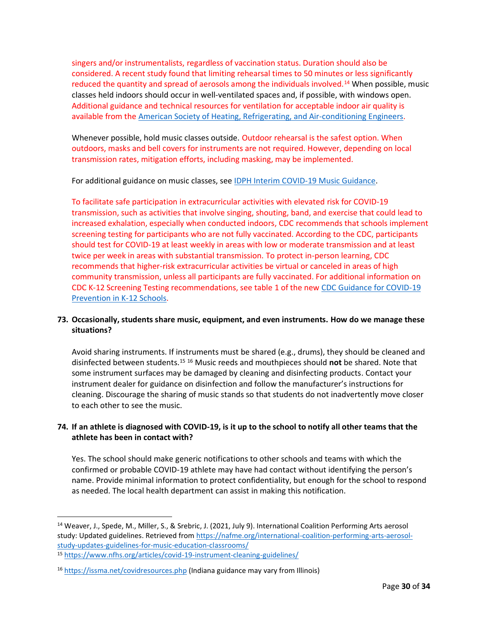singers and/or instrumentalists, regardless of vaccination status. Duration should also be considered. A recent study found that limiting rehearsal times to 50 minutes or less significantly reduced the quantity and spread of aerosols among the individuals involved.<sup>14</sup> When possible, music classes held indoors should occur in well-ventilated spaces and, if possible, with windows open. Additional guidance and technical resources for ventilation for acceptable indoor air quality is available from the [American Society of Heating, Refrigerating, and Air-conditioning Engineers.](https://www.ashrae.org/technical-resources/resources)

Whenever possible, hold music classes outside. Outdoor rehearsal is the safest option. When outdoors, masks and bell covers for instruments are not required. However, depending on local transmission rates, mitigation efforts, including masking, may be implemented.

For additional guidance on music classes, see [IDPH Interim COVID-19 Music Guidance.](https://www.dph.illinois.gov/covid19/community-guidance/music-guidance)

To facilitate safe participation in extracurricular activities with elevated risk for COVID-19 transmission, such as activities that involve singing, shouting, band, and exercise that could lead to increased exhalation, especially when conducted indoors, CDC recommends that schools implement screening testing for participants who are not fully vaccinated. According to the CDC, participants should test for COVID-19 at least weekly in areas with low or moderate transmission and at least twice per week in areas with substantial transmission. To protect in-person learning, CDC recommends that higher-risk extracurricular activities be virtual or canceled in areas of high community transmission, unless all participants are fully vaccinated. For additional information on CDC K-12 Screening Testing recommendations, see table 1 of the new [CDC Guidance for COVID-19](https://www.cdc.gov/coronavirus/2019-ncov/community/schools-childcare/k-12-guidance.html)  [Prevention in K-12 Schools.](https://www.cdc.gov/coronavirus/2019-ncov/community/schools-childcare/k-12-guidance.html)

# <span id="page-29-0"></span>**73. Occasionally, students share music, equipment, and even instruments. How do we manage these situations?**

Avoid sharing instruments. If instruments must be shared (e.g., drums), they should be cleaned and disinfected between students. <sup>15</sup> <sup>16</sup> Music reeds and mouthpieces should **not** be shared. Note that some instrument surfaces may be damaged by cleaning and disinfecting products. Contact your instrument dealer for guidance on disinfection and follow the manufacturer's instructions for cleaning. Discourage the sharing of music stands so that students do not inadvertently move closer to each other to see the music.

# <span id="page-29-1"></span>**74. If an athlete is diagnosed with COVID-19, is it up to the school to notify all other teams that the athlete has been in contact with?**

Yes. The school should make generic notifications to other schools and teams with which the confirmed or probable COVID-19 athlete may have had contact without identifying the person's name. Provide minimal information to protect confidentiality, but enough for the school to respond as needed. The local health department can assist in making this notification.

<sup>14</sup> Weaver, J., Spede, M., Miller, S., & Srebric, J. (2021, July 9). International Coalition Performing Arts aerosol study: Updated guidelines. Retrieved from [https://nafme.org/international-coalition-performing-arts-aerosol](https://nafme.org/international-coalition-performing-arts-aerosol-study-updates-guidelines-for-music-education-classrooms/)[study-updates-guidelines-for-music-education-classrooms/](https://nafme.org/international-coalition-performing-arts-aerosol-study-updates-guidelines-for-music-education-classrooms/)

<sup>15</sup> <https://www.nfhs.org/articles/covid-19-instrument-cleaning-guidelines/>

<sup>16</sup> <https://issma.net/covidresources.php> (Indiana guidance may vary from Illinois)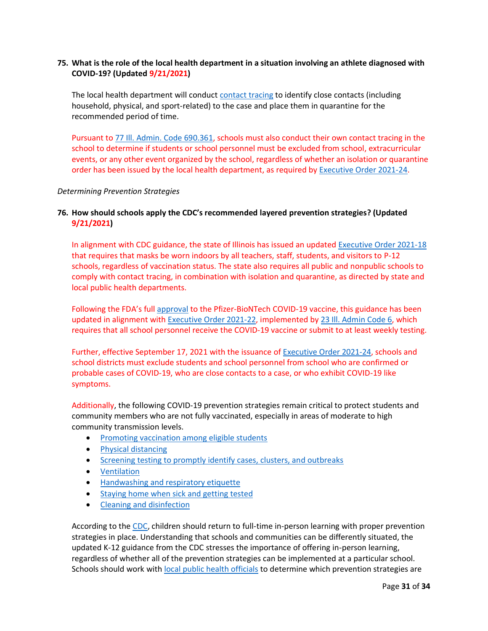# <span id="page-30-0"></span>**75. What is the role of the local health department in a situation involving an athlete diagnosed with COVID-19? (Updated 9/21/2021)**

The local health department will conduct [contact tracing](https://www.cdc.gov/coronavirus/2019-ncov/php/open-america/contact-tracing-resources.html) to identify close contacts (including household, physical, and sport-related) to the case and place them in quarantine for the recommended period of time.

Pursuant t[o 77 Ill. Admin. Code 690.361,](https://ilga.gov/commission/jcar/admincode/077/077006900D03610R.html) schools must also conduct their own contact tracing in the school to determine if students or school personnel must be excluded from school, extracurricular events, or any other event organized by the school, regardless of whether an isolation or quarantine order has been issued by the local health department, as required b[y Executive Order 2021-24.](https://www.illinois.gov/government/executive-orders/executive-order.executive-order-number-24.2021.html)

#### <span id="page-30-1"></span>*Determining Prevention Strategies*

### <span id="page-30-2"></span>**76. How should schools apply the CDC's recommended layered prevention strategies? (Updated 9/21/2021)**

In alignment with CDC guidance, the state of Illinois has issued an updated [Executive Order 2021-18](https://www.illinois.gov/government/executive-orders/executive-order.executive-order-number-18.2021.html) that requires that masks be worn indoors by all teachers, staff, students, and visitors to P-12 schools, regardless of vaccination status. The state also requires all public and nonpublic schools to comply with contact tracing, in combination with isolation and quarantine, as directed by state and local public health departments.

Following the FDA's full [approval](https://www.fda.gov/news-events/press-announcements/fda-approves-first-covid-19-vaccine) to the Pfizer-BioNTech COVID-19 vaccine, this guidance has been updated in alignment wit[h Executive Order 2021-22,](https://www.illinois.gov/government/executive-orders/executive-order.executive-order-number-22.2021.html) implemented by 23 Ill. [Admin Code 6,](https://www.isbe.net/Documents/18389_23-6RG-E.pdf) which requires that all school personnel receive the COVID-19 vaccine or submit to at least weekly testing.

Further, effective September 17, 2021 with the issuance of [Executive Order 2021-24,](https://www.illinois.gov/government/executive-orders/executive-order.executive-order-number-24.2021.html) schools and school districts must exclude students and school personnel from school who are confirmed or probable cases of COVID-19, who are close contacts to a case, or who exhibit COVID-19 like symptoms.

Additionally, the following COVID-19 prevention strategies remain critical to protect students and community members who are not fully vaccinated, especially in areas of moderate to high community transmission levels.

- [Promoting vaccination among eligible students](https://www.cdc.gov/coronavirus/2019-ncov/community/colleges-universities/considerations.html#section1)
- [Physical distancing](https://www.cdc.gov/coronavirus/2019-ncov/community/schools-childcare/k-12-guidance.html#physical-distancing)
- [Screening testing to promptly identify cases, clusters, and outbreaks](https://www.cdc.gov/coronavirus/2019-ncov/community/schools-childcare/k-12-guidance.html#screening-testing)
- [Ventilation](https://www.cdc.gov/coronavirus/2019-ncov/community/ventilation.html)
- [Handwashing and respiratory etiquette](https://www.cdc.gov/coronavirus/2019-ncov/community/schools-childcare/k-12-guidance.html#handwashing)
- [Staying home when sick and getting tested](https://www.cdc.gov/coronavirus/2019-ncov/community/schools-childcare/k-12-guidance.html#staying-home)
- [Cleaning and disinfection](https://www.cdc.gov/coronavirus/2019-ncov/community/disinfecting-building-facility.html)

According to th[e CDC,](https://www.cdc.gov/coronavirus/2019-ncov/vaccines/fully-vaccinated-guidance.html) children should return to full-time in-person learning with proper prevention strategies in place. Understanding that schools and communities can be differently situated, the updated K-12 guidance from the CDC stresses the importance of offering in-person learning, regardless of whether all of the prevention strategies can be implemented at a particular school. Schools should work with [local public health officials](https://www.cdc.gov/publichealthgateway/healthdirectories/index.html) to determine which prevention strategies are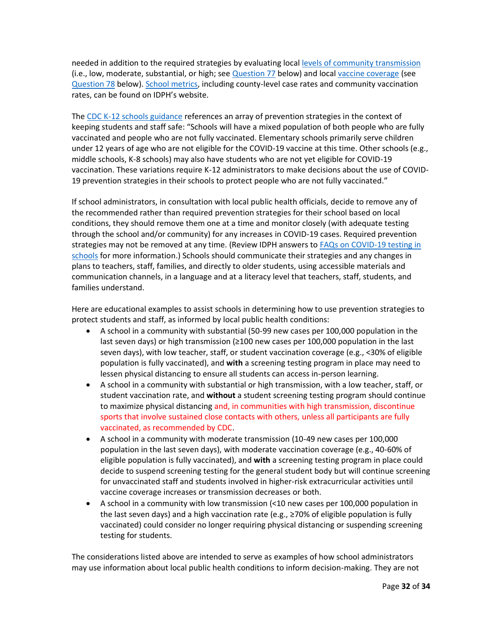needed in addition to the required strategies by evaluating loca[l levels of community transmission](https://covid.cdc.gov/covid-data-tracker/#county-view) (i.e., low, moderate, substantial, or high; see [Question 77](#page-32-0) below) and local [vaccine coverage](https://covid.cdc.gov/covid-data-tracker/#vaccinations-county-view) (see [Question 78](#page-32-1) below). [School metrics,](https://www.dph.illinois.gov/countyschool) including county-level case rates and community vaccination rates, can be found on IDPH's website.

The [CDC K-12 schools guidance](https://www.cdc.gov/coronavirus/2019-ncov/community/schools-childcare/k-12-guidance.html) references an array of prevention strategies in the context of keeping students and staff safe: "Schools will have a mixed population of both people who are fully vaccinated and people who are not fully vaccinated. Elementary schools primarily serve children under 12 years of age who are not eligible for the COVID-19 vaccine at this time. Other schools (e.g., middle schools, K-8 schools) may also have students who are not yet eligible for COVID-19 vaccination. These variations require K-12 administrators to make decisions about the use of COVID-19 prevention strategies in their schools to protect people who are not fully vaccinated."

If school administrators, in consultation with local public health officials, decide to remove any of the recommended rather than required prevention strategies for their school based on local conditions, they should remove them one at a time and monitor closely (with adequate testing through the school and/or community) for any increases in COVID-19 cases. Required prevention strategies may not be removed at any time. (Review IDPH answers to [FAQs on COVID-19 testing in](https://www.isbe.net/Documents/COVID-Testing-Schools-FAQ.pdf)  [schools](https://www.isbe.net/Documents/COVID-Testing-Schools-FAQ.pdf) for more information.) Schools should communicate their strategies and any changes in plans to teachers, staff, families, and directly to older students, using accessible materials and communication channels, in a language and at a literacy level that teachers, staff, students, and families understand.

Here are educational examples to assist schools in determining how to use prevention strategies to protect students and staff, as informed by local public health conditions:

- A school in a community with substantial (50-99 new cases per 100,000 population in the last seven days) or high transmission (≥100 new cases per 100,000 population in the last seven days), with low teacher, staff, or student vaccination coverage (e.g., <30% of eligible population is fully vaccinated), and **with** a screening testing program in place may need to lessen physical distancing to ensure all students can access in-person learning.
- A school in a community with substantial or high transmission, with a low teacher, staff, or student vaccination rate, and **without** a student screening testing program should continue to maximize physical distancing and, in communities with high transmission, discontinue sports that involve sustained close contacts with others, unless all participants are fully vaccinated, as recommended by CDC.
- A school in a community with moderate transmission (10-49 new cases per 100,000 population in the last seven days), with moderate vaccination coverage (e.g., 40-60% of eligible population is fully vaccinated), and **with** a screening testing program in place could decide to suspend screening testing for the general student body but will continue screening for unvaccinated staff and students involved in higher-risk extracurricular activities until vaccine coverage increases or transmission decreases or both.
- A school in a community with low transmission (<10 new cases per 100,000 population in the last seven days) and a high vaccination rate (e.g., ≥70% of eligible population is fully vaccinated) could consider no longer requiring physical distancing or suspending screening testing for students.

The considerations listed above are intended to serve as examples of how school administrators may use information about local public health conditions to inform decision-making. They are not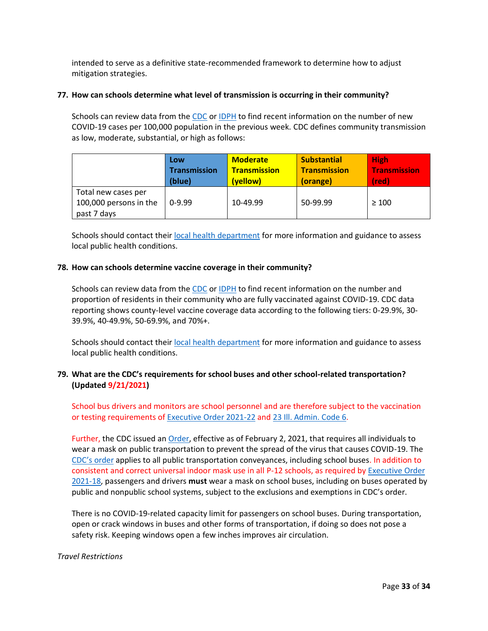intended to serve as a definitive state-recommended framework to determine how to adjust mitigation strategies.

#### <span id="page-32-0"></span>**77. How can schools determine what level of transmission is occurring in their community?**

Schools can review data from the [CDC](https://covid.cdc.gov/covid-data-tracker/#county-view) o[r IDPH](https://www.dph.illinois.gov/countyschool) to find recent information on the number of new COVID-19 cases per 100,000 population in the previous week. CDC defines community transmission as low, moderate, substantial, or high as follows:

|                                                              | Low                 | <b>Moderate</b>     | <b>Substantial</b>  | <b>High</b>         |
|--------------------------------------------------------------|---------------------|---------------------|---------------------|---------------------|
|                                                              | <b>Transmission</b> | <b>Transmission</b> | <b>Transmission</b> | <b>Transmission</b> |
|                                                              | (blue)              | (yellow)            | (orange)            | (red)               |
| Total new cases per<br>100,000 persons in the<br>past 7 days | $0-9.99$            | 10-49.99            | 50-99.99            | $\geq 100$          |

Schools should contact thei[r local health department](https://www.dph.illinois.gov/contact-us/idph-regional-health-departments) for more information and guidance to assess local public health conditions.

### <span id="page-32-1"></span>**78. How can schools determine vaccine coverage in their community?**

Schools can review data from the [CDC](https://covid.cdc.gov/covid-data-tracker/#vaccinations-county-view) o[r IDPH](https://www.dph.illinois.gov/covid19/vaccinedata?county=Illinois) to find recent information on the number and proportion of residents in their community who are fully vaccinated against COVID-19. CDC data reporting shows county-level vaccine coverage data according to the following tiers: 0-29.9%, 30- 39.9%, 40-49.9%, 50-69.9%, and 70%+.

Schools should contact thei[r local health department](https://www.dph.illinois.gov/contact-us/idph-regional-health-departments) for more information and guidance to assess local public health conditions.

# <span id="page-32-2"></span>**79. What are the CDC's requirements for school buses and other school-related transportation? (Updated 9/21/2021)**

School bus drivers and monitors are school personnel and are therefore subject to the vaccination or testing requirements of [Executive Order 2021-22](https://www.illinois.gov/government/executive-orders/executive-order.executive-order-number-22.2021.html) and [23 Ill. Admin. Code 6.](https://www.isbe.net/Documents/18389_23-6RG-E.pdf)

Further, the CDC issued an [Order,](https://www.cdc.gov/quarantine/masks/mask-travel-guidance.html) effective as of February 2, 2021, that requires all individuals to wear a mask on public transportation to prevent the spread of the virus that causes COVID-19. The [CDC's](https://www.cdc.gov/quarantine/masks/mask-travel-guidance.html) order applies to all public transportation conveyances, including school buses. In addition to consistent and correct universal indoor mask use in all P-12 schools, as required by [Executive Order](https://www.illinois.gov/government/executive-orders/executive-order.executive-order-number-18.2021.html)  [2021-18,](https://www.illinois.gov/government/executive-orders/executive-order.executive-order-number-18.2021.html) passengers and drivers **must** wear a mask on school buses, including on buses operated by public and nonpublic school systems, subject to the exclusions and exemptions in CDC's order.

There is no COVID-19-related capacity limit for passengers on school buses. During transportation, open or crack windows in buses and other forms of transportation, if doing so does not pose a safety risk. Keeping windows open a few inches improves air circulation.

### <span id="page-32-3"></span>*Travel Restrictions*